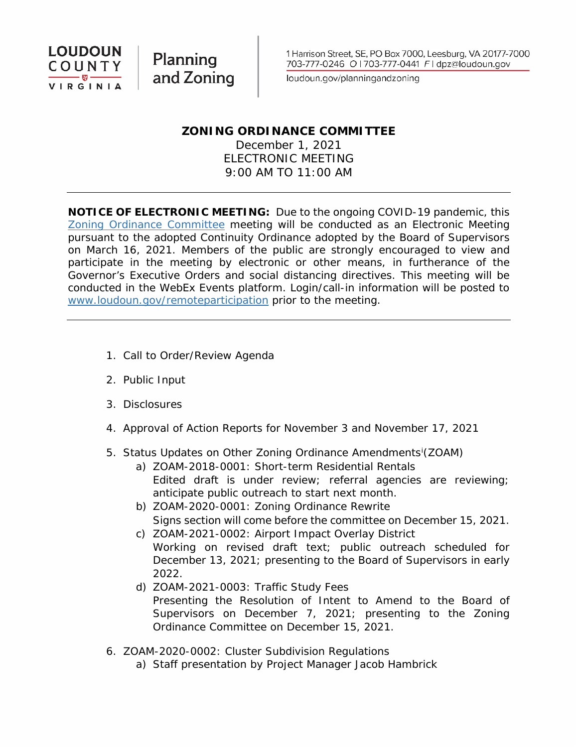

loudoun.gov/planningandzoning

# **ZONING ORDINANCE COMMITTEE**

December 1, 2021 ELECTRONIC MEETING 9:00 AM TO 11:00 AM

**NOTICE OF ELECTRONIC MEETING:** Due to the ongoing COVID-19 pandemic, this [Zoning Ordinance Committee](https://www.loudoun.gov/2898/Zoning-Ordinance-Committee) meeting will be conducted as an Electronic Meeting pursuant to the adopted Continuity Ordinance adopted by the Board of Supervisors on March 16, 2021. Members of the public are strongly encouraged to view and participate in the meeting by electronic or other means, in furtherance of the Governor's Executive Orders and social distancing directives. This meeting will be conducted in the WebEx Events platform. Login/call-in information will be posted to [www.loudoun.gov/remoteparticipation](https://www.loudoun.gov/remoteparticipation) prior to the meeting.

- 1. Call to Order/Review Agenda
- 2. Public Input
- 3. Disclosures
- 4. Approval of Action Reports for November 3 and November 17, 2021
- 5. Status Updates on Other Zon[i](#page-1-0)ng Ordinance Amendments<sup>i</sup>(ZOAM)
	- a) ZOAM-2018-0001: Short-term Residential Rentals Edited draft is under review; referral agencies are reviewing; anticipate public outreach to start next month.
	- b) ZOAM-2020-0001: Zoning Ordinance Rewrite Signs section will come before the committee on December 15, 2021.
	- c) ZOAM-2021-0002: Airport Impact Overlay District Working on revised draft text; public outreach scheduled for December 13, 2021; presenting to the Board of Supervisors in early 2022.
	- d) ZOAM-2021-0003: Traffic Study Fees Presenting the Resolution of Intent to Amend to the Board of Supervisors on December 7, 2021; presenting to the Zoning Ordinance Committee on December 15, 2021.
- 6. ZOAM-2020-0002: Cluster Subdivision Regulations a) Staff presentation by Project Manager Jacob Hambrick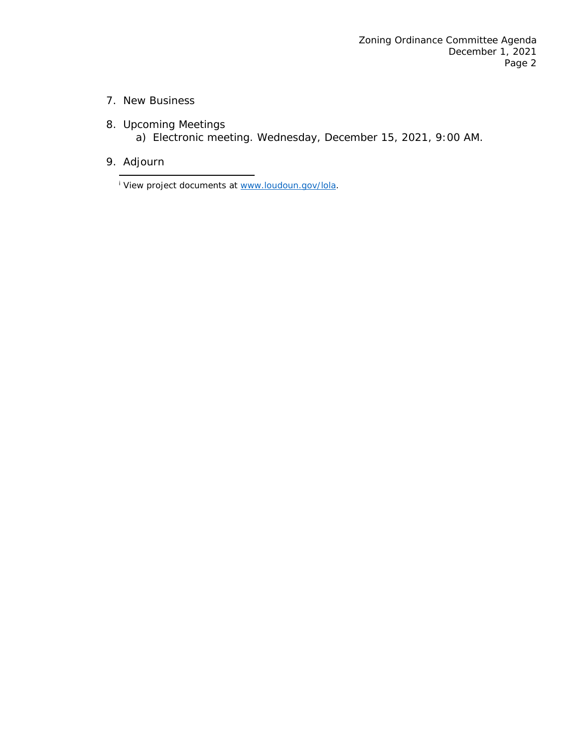- 7. New Business
- 8. Upcoming Meetings a) Electronic meeting. Wednesday, December 15, 2021, 9:00 AM.
- <span id="page-1-0"></span>9. Adjourn

<sup>&</sup>lt;sup>i</sup> View project documents at [www.loudoun.gov/lola.](http://www.loudoun.gov/lola)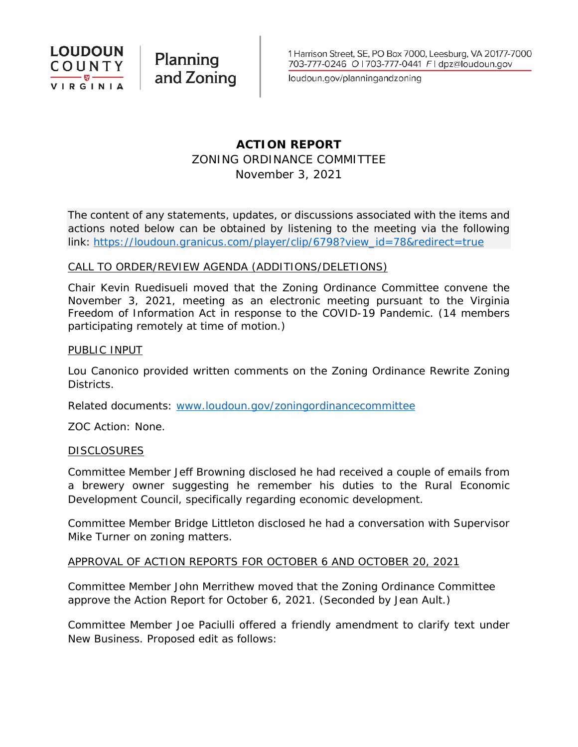

loudoun.gov/planningandzoning

# **ACTION REPORT** ZONING ORDINANCE COMMITTEE November 3, 2021

The content of any statements, updates, or discussions associated with the items and actions noted below can be obtained by listening to the meeting via the following link: [https://loudoun.granicus.com/player/clip/6798?view\\_id=78&redirect=true](https://loudoun.granicus.com/player/clip/6798?view_id=78&redirect=true)

# CALL TO ORDER/REVIEW AGENDA (ADDITIONS/DELETIONS)

Chair Kevin Ruedisueli moved that the Zoning Ordinance Committee convene the November 3, 2021, meeting as an electronic meeting pursuant to the Virginia Freedom of Information Act in response to the COVID-19 Pandemic. (14 members participating remotely at time of motion.)

# PUBLIC INPUT

Lou Canonico provided written comments on the Zoning Ordinance Rewrite Zoning Districts.

Related documents: [www.loudoun.gov/zoningordinancecommittee](http://www.loudoun.gov/zoningordinancecommittee)

*ZOC Action*: None.

# **DISCLOSURES**

Committee Member Jeff Browning disclosed he had received a couple of emails from a brewery owner suggesting he remember his duties to the Rural Economic Development Council, specifically regarding economic development.

Committee Member Bridge Littleton disclosed he had a conversation with Supervisor Mike Turner on zoning matters.

# APPROVAL OF ACTION REPORTS FOR OCTOBER 6 AND OCTOBER 20, 2021

Committee Member John Merrithew moved that the Zoning Ordinance Committee approve the Action Report for October 6, 2021. (Seconded by Jean Ault.)

Committee Member Joe Paciulli offered a friendly amendment to clarify text under New Business. Proposed edit as follows: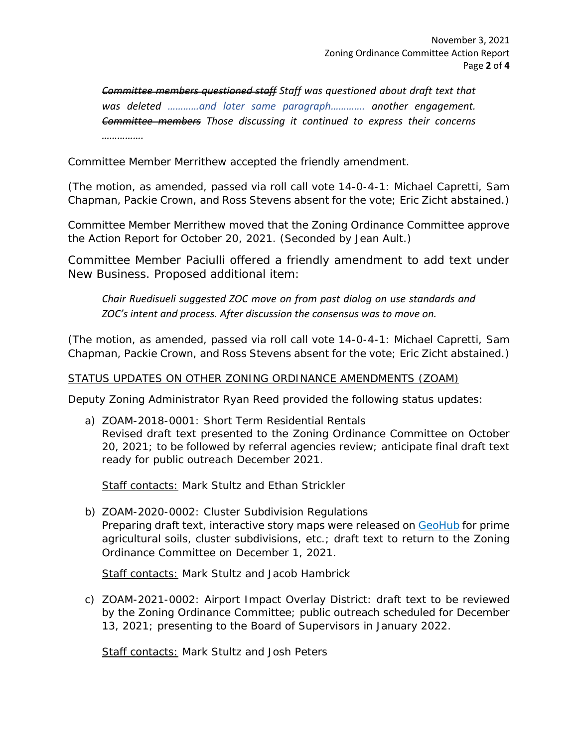*Committee members questioned staff Staff was questioned about draft text that was deleted …………and later same paragraph…………. another engagement. Committee members Those discussing it continued to express their concerns …………….*

Committee Member Merrithew accepted the friendly amendment.

(The motion, as amended, passed via roll call vote 14-0-4-1: Michael Capretti, Sam Chapman, Packie Crown, and Ross Stevens absent for the vote; Eric Zicht abstained.)

Committee Member Merrithew moved that the Zoning Ordinance Committee approve the Action Report for October 20, 2021. (Seconded by Jean Ault.)

Committee Member Paciulli offered a friendly amendment to add text under New Business. Proposed additional item:

*Chair Ruedisueli suggested ZOC move on from past dialog on use standards and ZOC's intent and process. After discussion the consensus was to move on.*

(The motion, as amended, passed via roll call vote 14-0-4-1: Michael Capretti, Sam Chapman, Packie Crown, and Ross Stevens absent for the vote; Eric Zicht abstained.)

# STATUS UPDATES ON OTHER ZONING ORDINANCE AMENDMENTS (ZOAM)

Deputy Zoning Administrator Ryan Reed provided the following status updates:

a) ZOAM-2018-0001: Short Term Residential Rentals Revised draft text presented to the Zoning Ordinance Committee on October 20, 2021; to be followed by referral agencies review; anticipate final draft text ready for public outreach December 2021.

Staff contacts: Mark Stultz and Ethan Strickler

b) ZOAM-2020-0002: Cluster Subdivision Regulations Preparing draft text, interactive story maps were released on [GeoHub](https://geohub-loudoungis.opendata.arcgis.com/) for prime agricultural soils, cluster subdivisions, etc.; draft text to return to the Zoning Ordinance Committee on December 1, 2021.

Staff contacts: Mark Stultz and Jacob Hambrick

c) ZOAM-2021-0002: Airport Impact Overlay District: draft text to be reviewed by the Zoning Ordinance Committee; public outreach scheduled for December 13, 2021; presenting to the Board of Supervisors in January 2022.

Staff contacts: Mark Stultz and Josh Peters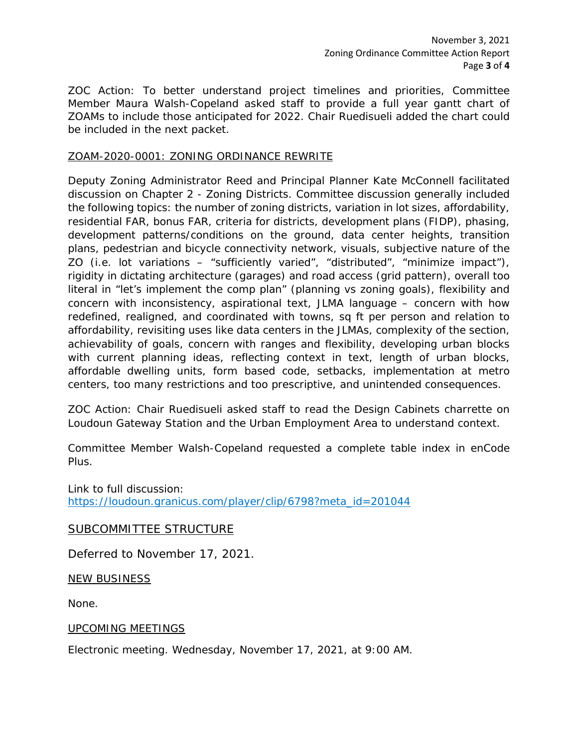*ZOC Action:* To better understand project timelines and priorities, Committee Member Maura Walsh-Copeland asked staff to provide a full year gantt chart of ZOAMs to include those anticipated for 2022. Chair Ruedisueli added the chart could be included in the next packet.

# ZOAM-2020-0001: ZONING ORDINANCE REWRITE

Deputy Zoning Administrator Reed and Principal Planner Kate McConnell facilitated discussion on Chapter 2 - Zoning Districts. Committee discussion generally included the following topics: the number of zoning districts, variation in lot sizes, affordability, residential FAR, bonus FAR, criteria for districts, development plans (FIDP), phasing, development patterns/conditions on the ground, data center heights, transition plans, pedestrian and bicycle connectivity network, visuals, subjective nature of the ZO (i.e. lot variations – "sufficiently varied", "distributed", "minimize impact"), rigidity in dictating architecture (garages) and road access (grid pattern), overall too literal in "let's implement the comp plan" (planning vs zoning goals), flexibility and concern with inconsistency, aspirational text, JLMA language – concern with how redefined, realigned, and coordinated with towns, sq ft per person and relation to affordability, revisiting uses like data centers in the JLMAs, complexity of the section, achievability of goals, concern with ranges and flexibility, developing urban blocks with current planning ideas, reflecting context in text, length of urban blocks, affordable dwelling units, form based code, setbacks, implementation at metro centers, too many restrictions and too prescriptive, and unintended consequences.

ZOC Action: Chair Ruedisueli asked staff to read the Design Cabinets charrette on Loudoun Gateway Station and the Urban Employment Area to understand context.

Committee Member Walsh-Copeland requested a complete table index in enCode Plus.

Link to full discussion: [https://loudoun.granicus.com/player/clip/6798?meta\\_id=201044](https://loudoun.granicus.com/player/clip/6798?meta_id=201044)

# SUBCOMMITTEE STRUCTURE

Deferred to November 17, 2021.

# NEW BUSINESS

None.

# UPCOMING MEETINGS

Electronic meeting. Wednesday, November 17, 2021, at 9:00 AM.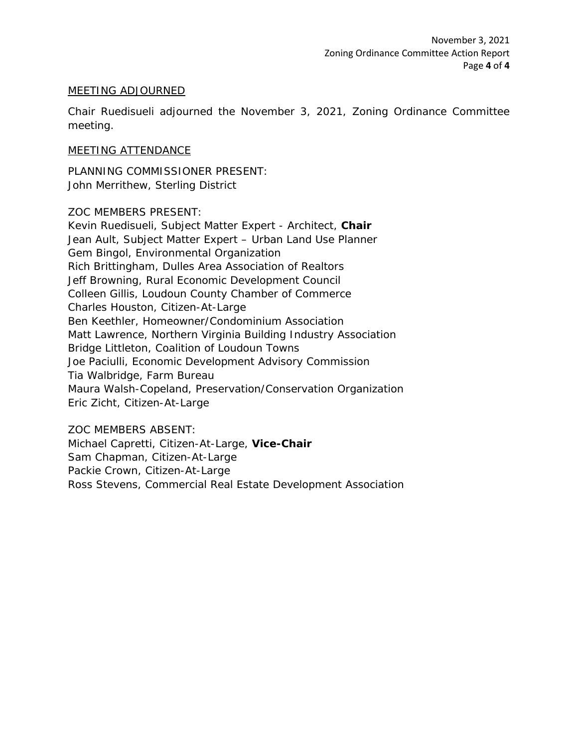#### MEETING ADJOURNED

Chair Ruedisueli adjourned the November 3, 2021, Zoning Ordinance Committee meeting.

#### MEETING ATTENDANCE

PLANNING COMMISSIONER PRESENT: John Merrithew, Sterling District

ZOC MEMBERS PRESENT:

Kevin Ruedisueli, Subject Matter Expert - Architect, *Chair* Jean Ault, Subject Matter Expert – Urban Land Use Planner Gem Bingol, Environmental Organization Rich Brittingham, Dulles Area Association of Realtors Jeff Browning, Rural Economic Development Council Colleen Gillis, Loudoun County Chamber of Commerce Charles Houston, Citizen-At-Large Ben Keethler, Homeowner/Condominium Association Matt Lawrence, Northern Virginia Building Industry Association Bridge Littleton, Coalition of Loudoun Towns Joe Paciulli, Economic Development Advisory Commission Tia Walbridge, Farm Bureau Maura Walsh-Copeland, Preservation/Conservation Organization Eric Zicht, Citizen-At-Large

ZOC MEMBERS ABSENT:

Michael Capretti, Citizen-At-Large, *Vice-Chair* Sam Chapman, Citizen-At-Large Packie Crown, Citizen-At-Large Ross Stevens, Commercial Real Estate Development Association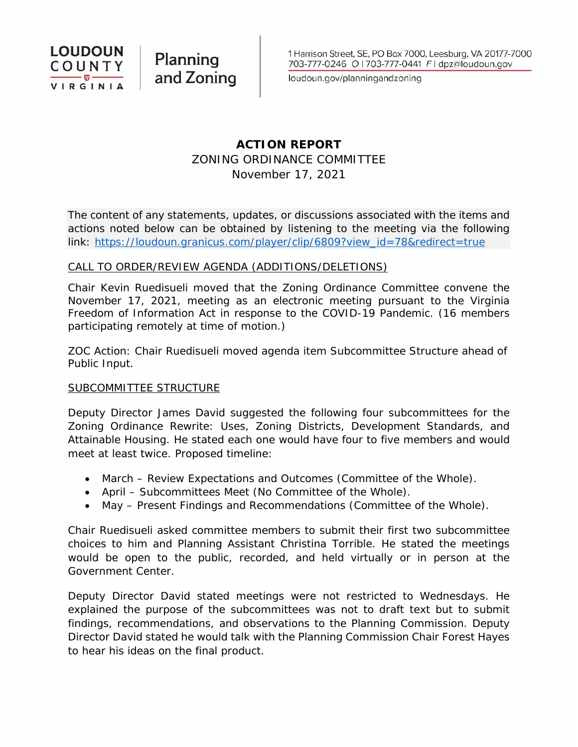

loudoun.gov/planningandzoning

# **ACTION REPORT** ZONING ORDINANCE COMMITTEE November 17, 2021

The content of any statements, updates, or discussions associated with the items and actions noted below can be obtained by listening to the meeting via the following link: [https://loudoun.granicus.com/player/clip/6809?view\\_id=78&redirect=true](https://loudoun.granicus.com/player/clip/6809?view_id=78&redirect=true)

# CALL TO ORDER/REVIEW AGENDA (ADDITIONS/DELETIONS)

Chair Kevin Ruedisueli moved that the Zoning Ordinance Committee convene the November 17, 2021, meeting as an electronic meeting pursuant to the Virginia Freedom of Information Act in response to the COVID-19 Pandemic. (16 members participating remotely at time of motion.)

*ZOC Action*: Chair Ruedisueli moved agenda item Subcommittee Structure ahead of Public Input.

# SUBCOMMITTEE STRUCTURE

Deputy Director James David suggested the following four subcommittees for the Zoning Ordinance Rewrite: Uses, Zoning Districts, Development Standards, and Attainable Housing. He stated each one would have four to five members and would meet at least twice. Proposed timeline:

- March Review Expectations and Outcomes (Committee of the Whole).
- April Subcommittees Meet (No Committee of the Whole).
- May Present Findings and Recommendations (Committee of the Whole).

Chair Ruedisueli asked committee members to submit their first two subcommittee choices to him and Planning Assistant Christina Torrible. He stated the meetings would be open to the public, recorded, and held virtually or in person at the Government Center.

Deputy Director David stated meetings were not restricted to Wednesdays. He explained the purpose of the subcommittees was not to draft text but to submit findings, recommendations, and observations to the Planning Commission. Deputy Director David stated he would talk with the Planning Commission Chair Forest Hayes to hear his ideas on the final product.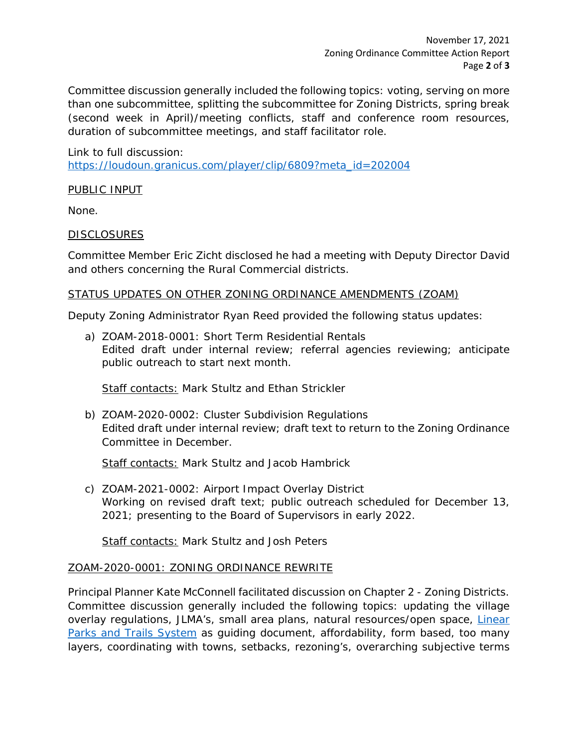November 17, 2021 Zoning Ordinance Committee Action Report Page **2** of **3**

Committee discussion generally included the following topics: voting, serving on more than one subcommittee, splitting the subcommittee for Zoning Districts, spring break (second week in April)/meeting conflicts, staff and conference room resources, duration of subcommittee meetings, and staff facilitator role.

Link to full discussion: [https://loudoun.granicus.com/player/clip/6809?meta\\_id=202004](https://loudoun.granicus.com/player/clip/6809?meta_id=202004)

# PUBLIC INPUT

None.

#### **DISCLOSURES**

Committee Member Eric Zicht disclosed he had a meeting with Deputy Director David and others concerning the Rural Commercial districts.

#### STATUS UPDATES ON OTHER ZONING ORDINANCE AMENDMENTS (ZOAM)

Deputy Zoning Administrator Ryan Reed provided the following status updates:

a) ZOAM-2018-0001: Short Term Residential Rentals Edited draft under internal review; referral agencies reviewing; anticipate public outreach to start next month.

Staff contacts: Mark Stultz and Ethan Strickler

b) ZOAM-2020-0002: Cluster Subdivision Regulations Edited draft under internal review; draft text to return to the Zoning Ordinance Committee in December.

Staff contacts: Mark Stultz and Jacob Hambrick

c) ZOAM-2021-0002: Airport Impact Overlay District Working on revised draft text; public outreach scheduled for December 13, 2021; presenting to the Board of Supervisors in early 2022.

Staff contacts: Mark Stultz and Josh Peters

# ZOAM-2020-0001: ZONING ORDINANCE REWRITE

Principal Planner Kate McConnell facilitated discussion on Chapter 2 - Zoning Districts. Committee discussion generally included the following topics: updating the village overlay regulations, JLMA's, small area plans, natural resources/open space, [Linear](https://www.loudoun.gov/5472/About)  [Parks and Trails System](https://www.loudoun.gov/5472/About) as guiding document, affordability, form based, too many layers, coordinating with towns, setbacks, rezoning's, overarching subjective terms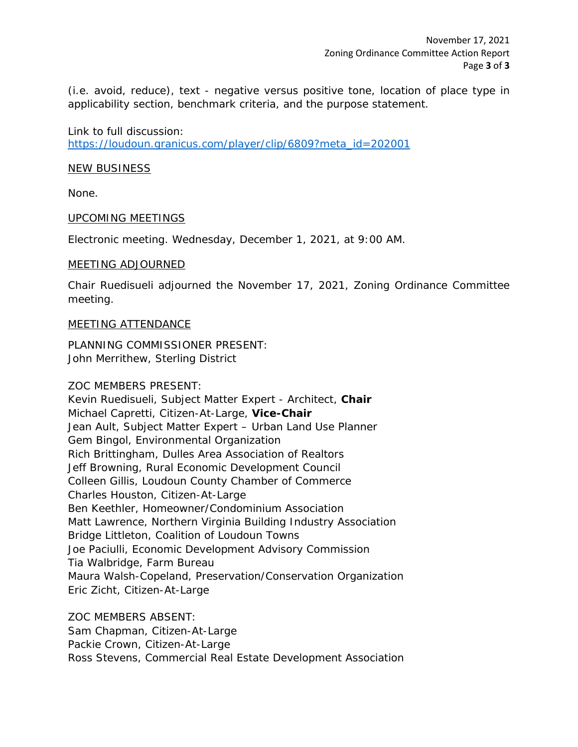(i.e. avoid, reduce), text - negative versus positive tone, location of place type in applicability section, benchmark criteria, and the purpose statement.

Link to full discussion: [https://loudoun.granicus.com/player/clip/6809?meta\\_id=202001](https://loudoun.granicus.com/player/clip/6809?meta_id=202001)

#### NEW BUSINESS

None.

#### UPCOMING MEETINGS

Electronic meeting. Wednesday, December 1, 2021, at 9:00 AM.

#### MEETING ADJOURNED

Chair Ruedisueli adjourned the November 17, 2021, Zoning Ordinance Committee meeting.

#### MEETING ATTENDANCE

PLANNING COMMISSIONER PRESENT: John Merrithew, Sterling District

# ZOC MEMBERS PRESENT:

Kevin Ruedisueli, Subject Matter Expert - Architect, *Chair* Michael Capretti, Citizen-At-Large, *Vice-Chair* Jean Ault, Subject Matter Expert – Urban Land Use Planner Gem Bingol, Environmental Organization Rich Brittingham, Dulles Area Association of Realtors Jeff Browning, Rural Economic Development Council Colleen Gillis, Loudoun County Chamber of Commerce Charles Houston, Citizen-At-Large Ben Keethler, Homeowner/Condominium Association Matt Lawrence, Northern Virginia Building Industry Association Bridge Littleton, Coalition of Loudoun Towns Joe Paciulli, Economic Development Advisory Commission Tia Walbridge, Farm Bureau Maura Walsh-Copeland, Preservation/Conservation Organization Eric Zicht, Citizen-At-Large

ZOC MEMBERS ABSENT: Sam Chapman, Citizen-At-Large Packie Crown, Citizen-At-Large Ross Stevens, Commercial Real Estate Development Association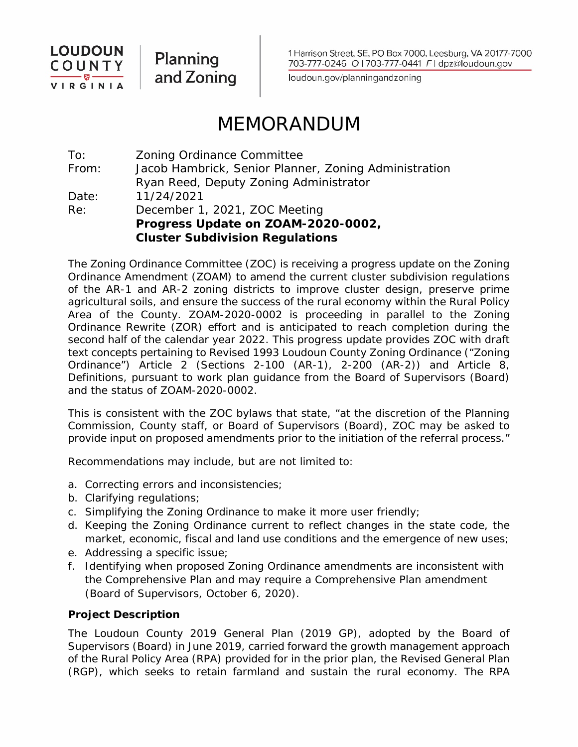

1 Harrison Street, SE, PO Box 7000, Leesburg, VA 20177-7000 703-777-0246 O | 703-777-0441 F | dpz@loudoun.gov

loudoun.gov/planningandzoning

# MEMORANDUM

To: Zoning Ordinance Committee From: Jacob Hambrick, Senior Planner, Zoning Administration Ryan Reed, Deputy Zoning Administrator Date: 11/24/2021 Re: December 1, 2021, ZOC Meeting **Progress Update on ZOAM-2020-0002, Cluster Subdivision Regulations**

The Zoning Ordinance Committee (ZOC) is receiving a progress update on the Zoning Ordinance Amendment (ZOAM) to amend the current cluster subdivision regulations of the AR-1 and AR-2 zoning districts to improve cluster design, preserve prime agricultural soils, and ensure the success of the rural economy within the Rural Policy Area of the County. ZOAM-2020-0002 is proceeding in parallel to the Zoning Ordinance Rewrite (ZOR) effort and is anticipated to reach completion during the second half of the calendar year 2022. This progress update provides ZOC with draft text concepts pertaining to Revised 1993 Loudoun County Zoning Ordinance ("Zoning Ordinance") Article 2 (Sections 2-100 (AR-1), 2-200 (AR-2)) and Article 8, Definitions, pursuant to work plan guidance from the Board of Supervisors (Board) and the status of ZOAM-2020-0002.

This is consistent with the ZOC bylaws that state, "at the discretion of the Planning Commission, County staff, or Board of Supervisors (Board), ZOC may be asked to provide input on proposed amendments prior to the initiation of the referral process."

Recommendations may include, but are not limited to:

- a. Correcting errors and inconsistencies;
- b. Clarifying regulations;
- c. Simplifying the Zoning Ordinance to make it more user friendly;
- d. Keeping the Zoning Ordinance current to reflect changes in the state code, the market, economic, fiscal and land use conditions and the emergence of new uses;
- e. Addressing a specific issue;
- f. Identifying when proposed Zoning Ordinance amendments are inconsistent with the Comprehensive Plan and may require a Comprehensive Plan amendment (Board of Supervisors, October 6, 2020).

# **Project Description**

The *Loudoun County 2019 General Plan* (2019 GP), adopted by the Board of Supervisors (Board) in June 2019, carried forward the growth management approach of the Rural Policy Area (RPA) provided for in the prior plan, the Revised General Plan (RGP), which seeks to retain farmland and sustain the rural economy. The RPA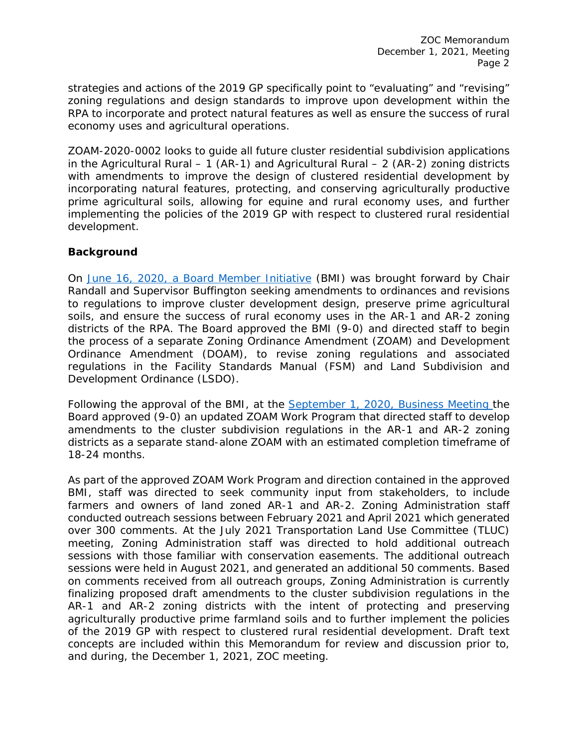ZOC Memorandum December 1, 2021, Meeting Page 2

strategies and actions of the 2019 GP specifically point to "evaluating" and "revising" zoning regulations and design standards to improve upon development within the RPA to incorporate and protect natural features as well as ensure the success of rural economy uses and agricultural operations.

ZOAM-2020-0002 looks to guide all future cluster residential subdivision applications in the Agricultural Rural – 1 (AR-1) and Agricultural Rural – 2 (AR-2) zoning districts with amendments to improve the design of clustered residential development by incorporating natural features, protecting, and conserving agriculturally productive prime agricultural soils, allowing for equine and rural economy uses, and further implementing the policies of the 2019 GP with respect to clustered rural residential development.

# **Background**

On [June 16, 2020, a Board Member Initiative](https://lfportal.loudoun.gov/LFPortalinternet/0/edoc/422185/Item%2004%20BMI-Rural%20Cluster%20Development%20and%20Prime%20Agricultural%20Soil%20Amendments.pdf) (BMI) was brought forward by Chair Randall and Supervisor Buffington seeking amendments to ordinances and revisions to regulations to improve cluster development design, preserve prime agricultural soils, and ensure the success of rural economy uses in the AR-1 and AR-2 zoning districts of the RPA. The Board approved the BMI (9-0) and directed staff to begin the process of a separate Zoning Ordinance Amendment (ZOAM) and Development Ordinance Amendment (DOAM), to revise zoning regulations and associated regulations in the Facility Standards Manual (FSM) and Land Subdivision and Development Ordinance (LSDO).

Following the approval of the BMI, at the [September 1, 2020, Business Meeting](https://www.loudoun.gov/3426/Board-of-Supervisors-Meetings-Packets) the Board approved (9-0) an updated ZOAM Work Program that directed staff to develop amendments to the cluster subdivision regulations in the AR-1 and AR-2 zoning districts as a separate stand-alone ZOAM with an estimated completion timeframe of 18-24 months.

As part of the approved ZOAM Work Program and direction contained in the approved BMI, staff was directed to seek community input from stakeholders, to include farmers and owners of land zoned AR-1 and AR-2. Zoning Administration staff conducted outreach sessions between February 2021 and April 2021 which generated over 300 comments. At the July 2021 Transportation Land Use Committee (TLUC) meeting, Zoning Administration staff was directed to hold additional outreach sessions with those familiar with conservation easements. The additional outreach sessions were held in August 2021, and generated an additional 50 comments. Based on comments received from all outreach groups, Zoning Administration is currently finalizing proposed draft amendments to the cluster subdivision regulations in the AR-1 and AR-2 zoning districts with the intent of protecting and preserving agriculturally productive prime farmland soils and to further implement the policies of the 2019 GP with respect to clustered rural residential development. Draft text concepts are included within this Memorandum for review and discussion prior to, and during, the December 1, 2021, ZOC meeting.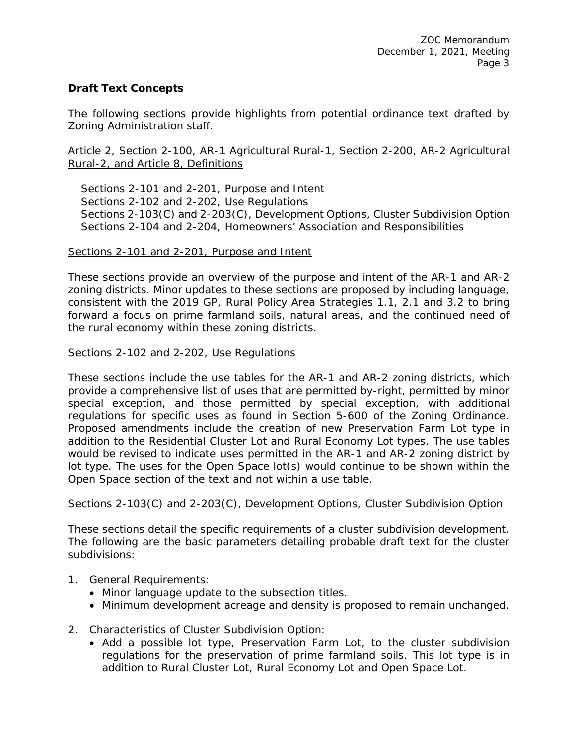# **Draft Text Concepts**

The following sections provide highlights from potential ordinance text drafted by Zoning Administration staff.

# Article 2, Section 2-100, AR-1 Agricultural Rural-1, Section 2-200, AR-2 Agricultural Rural-2, and Article 8, Definitions

Sections 2-101 and 2-201, Purpose and Intent Sections 2-102 and 2-202, Use Regulations Sections 2-103(C) and 2-203(C), Development Options, Cluster Subdivision Option Sections 2-104 and 2-204, Homeowners' Association and Responsibilities

# *Sections 2-101 and 2-201, Purpose and Intent*

These sections provide an overview of the purpose and intent of the AR-1 and AR-2 zoning districts. Minor updates to these sections are proposed by including language, consistent with the 2019 GP, Rural Policy Area Strategies 1.1, 2.1 and 3.2 to bring forward a focus on prime farmland soils, natural areas, and the continued need of the rural economy within these zoning districts.

# *Sections 2-102 and 2-202, Use Regulations*

These sections include the use tables for the AR-1 and AR-2 zoning districts, which provide a comprehensive list of uses that are permitted by-right, permitted by minor special exception, and those permitted by special exception, with additional regulations for specific uses as found in Section 5-600 of the Zoning Ordinance. Proposed amendments include the creation of new Preservation Farm Lot type in addition to the Residential Cluster Lot and Rural Economy Lot types. The use tables would be revised to indicate uses permitted in the AR-1 and AR-2 zoning district by lot type. The uses for the Open Space lot(s) would continue to be shown within the Open Space section of the text and not within a use table.

# *Sections 2-103(C) and 2-203(C), Development Options, Cluster Subdivision Option*

These sections detail the specific requirements of a cluster subdivision development. The following are the basic parameters detailing probable draft text for the cluster subdivisions:

- 1. General Requirements:
	- Minor language update to the subsection titles.
	- Minimum development acreage and density is proposed to remain unchanged.
- 2. Characteristics of Cluster Subdivision Option:
	- Add a possible lot type, Preservation Farm Lot, to the cluster subdivision regulations for the preservation of prime farmland soils. This lot type is in addition to Rural Cluster Lot, Rural Economy Lot and Open Space Lot.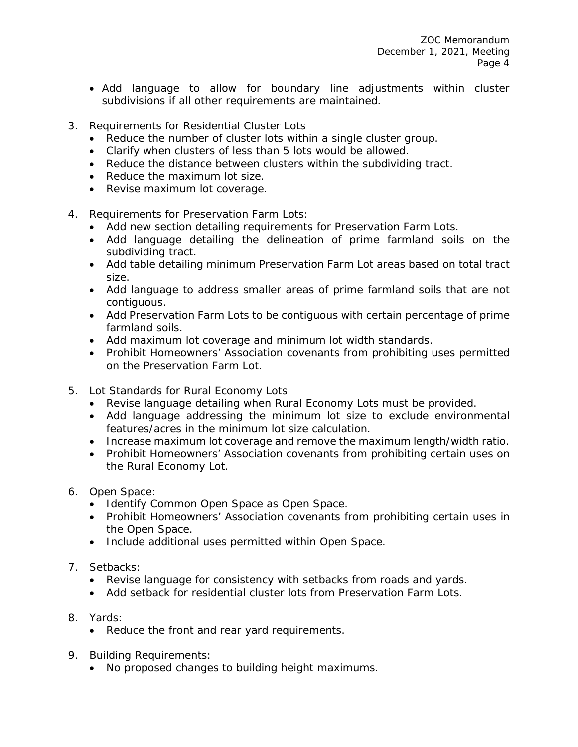- Add language to allow for boundary line adjustments within cluster subdivisions if all other requirements are maintained.
- 3. Requirements for Residential Cluster Lots
	- Reduce the number of cluster lots within a single cluster group.
	- Clarify when clusters of less than 5 lots would be allowed.
	- Reduce the distance between clusters within the subdividing tract.
	- Reduce the maximum lot size.
	- Revise maximum lot coverage.
- 4. Requirements for Preservation Farm Lots:
	- Add new section detailing requirements for Preservation Farm Lots.
	- Add language detailing the delineation of prime farmland soils on the subdividing tract.
	- Add table detailing minimum Preservation Farm Lot areas based on total tract size.
	- Add language to address smaller areas of prime farmland soils that are not contiguous.
	- Add Preservation Farm Lots to be contiguous with certain percentage of prime farmland soils.
	- Add maximum lot coverage and minimum lot width standards.
	- Prohibit Homeowners' Association covenants from prohibiting uses permitted on the Preservation Farm Lot.
- 5. Lot Standards for Rural Economy Lots
	- Revise language detailing when Rural Economy Lots must be provided.
	- Add language addressing the minimum lot size to exclude environmental features/acres in the minimum lot size calculation.
	- Increase maximum lot coverage and remove the maximum length/width ratio.
	- Prohibit Homeowners' Association covenants from prohibiting certain uses on the Rural Economy Lot.
- 6. Open Space:
	- Identify Common Open Space as Open Space.
	- Prohibit Homeowners' Association covenants from prohibiting certain uses in the Open Space.
	- Include additional uses permitted within Open Space.
- 7. Setbacks:
	- Revise language for consistency with setbacks from roads and yards.
	- Add setback for residential cluster lots from Preservation Farm Lots.
- 8. Yards:
	- Reduce the front and rear yard requirements.
- 9. Building Requirements:
	- No proposed changes to building height maximums.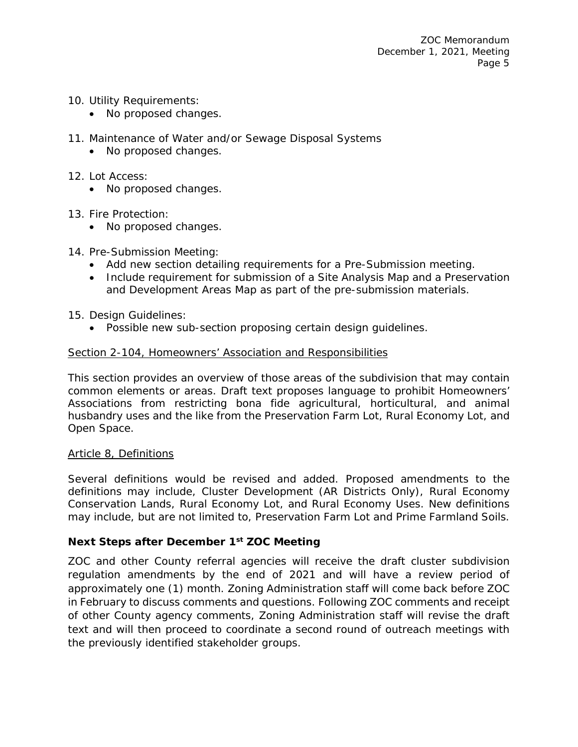- 10. Utility Requirements:
	- No proposed changes.
- 11. Maintenance of Water and/or Sewage Disposal Systems
	- No proposed changes.
- 12. Lot Access:
	- No proposed changes.
- 13. Fire Protection:
	- No proposed changes.
- 14. Pre-Submission Meeting:
	- Add new section detailing requirements for a Pre-Submission meeting.
	- Include requirement for submission of a Site Analysis Map and a Preservation and Development Areas Map as part of the pre-submission materials.
- 15. Design Guidelines:
	- Possible new sub-section proposing certain design guidelines.

# *Section 2-104, Homeowners' Association and Responsibilities*

This section provides an overview of those areas of the subdivision that may contain common elements or areas. Draft text proposes language to prohibit Homeowners' Associations from restricting bona fide agricultural, horticultural, and animal husbandry uses and the like from the Preservation Farm Lot, Rural Economy Lot, and Open Space.

# *Article 8, Definitions*

Several definitions would be revised and added. Proposed amendments to the definitions may include, Cluster Development (AR Districts Only), Rural Economy Conservation Lands, Rural Economy Lot, and Rural Economy Uses. New definitions may include, but are not limited to, Preservation Farm Lot and Prime Farmland Soils.

# **Next Steps after December 1st ZOC Meeting**

ZOC and other County referral agencies will receive the draft cluster subdivision regulation amendments by the end of 2021 and will have a review period of approximately one (1) month. Zoning Administration staff will come back before ZOC in February to discuss comments and questions. Following ZOC comments and receipt of other County agency comments, Zoning Administration staff will revise the draft text and will then proceed to coordinate a second round of outreach meetings with the previously identified stakeholder groups.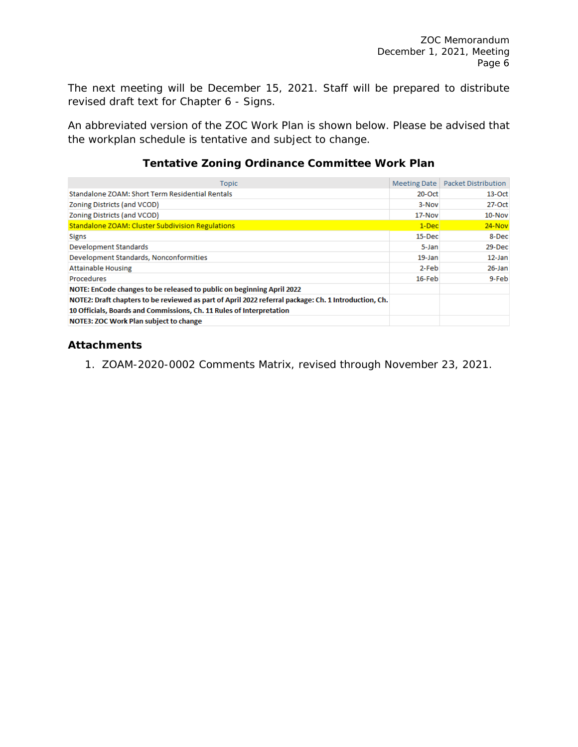The next meeting will be December 15, 2021. Staff will be prepared to distribute revised draft text for Chapter 6 - Signs.

An abbreviated version of the ZOC Work Plan is shown below. Please be advised that the workplan schedule is tentative and subject to change.

# **Tentative Zoning Ordinance Committee Work Plan**

| <b>Topic</b>                                                                                         | <b>Meeting Date</b> | <b>Packet Distribution</b> |
|------------------------------------------------------------------------------------------------------|---------------------|----------------------------|
| Standalone ZOAM: Short Term Residential Rentals                                                      | $20$ -Oct           | $13$ -Oct                  |
| Zoning Districts (and VCOD)                                                                          | 3-Nov               | $27-Oct$                   |
| Zoning Districts (and VCOD)                                                                          | 17-Nov              | 10-Nov                     |
| <b>Standalone ZOAM: Cluster Subdivision Regulations</b>                                              | $1-Dec$             | $24 - Nov$                 |
| <b>Signs</b>                                                                                         | $15$ -Dec           | 8-Dec                      |
| Development Standards                                                                                | 5-Jan               | 29-Dec                     |
| Development Standards, Nonconformities                                                               | $19$ -Jan           | 12-Jan                     |
| <b>Attainable Housing</b>                                                                            | 2-Feb               | $26 - Jan$                 |
| <b>Procedures</b>                                                                                    | $16$ -Feb           | 9-Feb                      |
| NOTE: EnCode changes to be released to public on beginning April 2022                                |                     |                            |
| NOTE2: Draft chapters to be reviewed as part of April 2022 referral package: Ch. 1 Introduction, Ch. |                     |                            |
| 10 Officials, Boards and Commissions, Ch. 11 Rules of Interpretation                                 |                     |                            |
| <b>NOTE3: ZOC Work Plan subject to change</b>                                                        |                     |                            |

# **Attachments**

1. ZOAM-2020-0002 Comments Matrix, revised through November 23, 2021.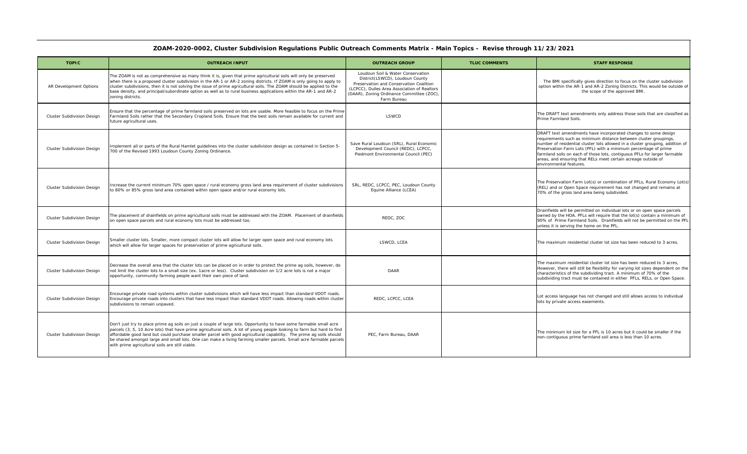| <b>TOPIC</b>                      | <b>OUTREACH INPUT</b>                                                                                                                                                                                                                                                                                                                                                                                                                                                                                                                          | <b>OUTREACH GROUP</b>                                                                                                                                                                                                      | <b>TLUC COMMENTS</b> | <b>STAFF RESPONSE</b>                                                                                                                                                                                                                                                                                                                                                                                                                                           |
|-----------------------------------|------------------------------------------------------------------------------------------------------------------------------------------------------------------------------------------------------------------------------------------------------------------------------------------------------------------------------------------------------------------------------------------------------------------------------------------------------------------------------------------------------------------------------------------------|----------------------------------------------------------------------------------------------------------------------------------------------------------------------------------------------------------------------------|----------------------|-----------------------------------------------------------------------------------------------------------------------------------------------------------------------------------------------------------------------------------------------------------------------------------------------------------------------------------------------------------------------------------------------------------------------------------------------------------------|
| <b>AR Development Options</b>     | The ZOAM is not as comprehensive as many think it is, given that prime agricultural soils will only be preserved<br>when there is a proposed cluster subdivision in the AR-1 or AR-2 zoning districts. If ZOAM is only going to apply to<br>cluster subdivisions, then it is not solving the issue of prime agricultural soils. The ZOAM should be applied to the<br>base density, and principal/subordinate option as well as to rural business applications within the AR-1 and AR-2<br>zoning districts.                                    | Loudoun Soil & Water Conservation<br>District(LSWCD), Loudoun County<br>Preservation and Conservation Coalition<br>(LCPCC), Dulles Area Association of Realtors<br>(DAAR), Zoning Ordinance Committee (ZOC)<br>Farm Bureau |                      | The BMI specifically gives direction to focus on the cluster subdivision<br>option within the AR-1 and AR-2 Zoning Districts. This would be outside of<br>the scope of the approved BMI.                                                                                                                                                                                                                                                                        |
| <b>Cluster Subdivision Design</b> | Ensure that the percentage of prime farmland soils preserved on lots are usable. More feasible to focus on the Prime<br>Farmland Soils rather that the Secondary Cropland Soils. Ensure that the best soils remain available for current and<br>future agricultural uses.                                                                                                                                                                                                                                                                      | LSWCD                                                                                                                                                                                                                      |                      | The DRAFT text amendments only address those soils that are classified as<br>Prime Farmland Soils.                                                                                                                                                                                                                                                                                                                                                              |
| <b>Cluster Subdivision Design</b> | Implement all or parts of the Rural Hamlet guidelines into the cluster subdivision design as contained in Section 5-<br>700 of the Revised 1993 Loudoun County Zoning Ordinance.                                                                                                                                                                                                                                                                                                                                                               | Save Rural Loudoun (SRL), Rural Economic<br>Development Council (REDC), LCPCC,<br>Piedmont Environmental Council (PEC)                                                                                                     |                      | DRAFT text amendments have incorporated changes to some design<br>requirements such as minimum distance between cluster groupings,<br>number of residential cluster lots allowed in a cluster grouping, addition of<br>Preservation Farm Lots (PFL) with a minimum percentage of prime<br>farmland soils on each of those lots, contiguous PFLs for larger farmable<br>areas, and ensuring that RELs meet certain acreage outside of<br>environmental features. |
| <b>Cluster Subdivision Design</b> | Increase the current minimum 70% open space / rural economy gross land area requirement of cluster subdivisions<br>to 80% or 85% gross land area contained within open space and/or rural economy lots.                                                                                                                                                                                                                                                                                                                                        | SRL, REDC, LCPCC, PEC, Loudoun County<br>Equine Alliance (LCEA)                                                                                                                                                            |                      | The Preservation Farm Lot(s) or combination of PFLs, Rural Economy Lot(s)<br>(REL) and or Open Space requirement has not changed and remains at<br>70% of the gross land area being subdivided.                                                                                                                                                                                                                                                                 |
| <b>Cluster Subdivision Design</b> | The placement of drainfields on prime agricultural soils must be addressed with the ZOAM. Placement of drainfields<br>on open space parcels and rural economy lots must be addressed too.                                                                                                                                                                                                                                                                                                                                                      | REDC, ZOC                                                                                                                                                                                                                  |                      | Drainfields will be permitted on individual lots or on open space parcels<br>owned by the HOA. PFLs will require that the lot(s) contain a minimum of<br>190% of Prime Farmland Soils. Drainfields will not be permitted on the PFL<br>unless it is serving the home on the PFL.                                                                                                                                                                                |
| <b>Cluster Subdivision Design</b> | Smaller cluster lots. Smaller, more compact cluster lots will allow for larger open space and rural economy lots<br>which will allow for larger spaces for preservation of prime agricultural soils.                                                                                                                                                                                                                                                                                                                                           | LSWCD, LCEA                                                                                                                                                                                                                |                      | The maximum residential cluster lot size has been reduced to 3 acres.                                                                                                                                                                                                                                                                                                                                                                                           |
| <b>Cluster Subdivision Design</b> | Decrease the overall area that the cluster lots can be placed on in order to protect the prime ag soils, however, do<br>not limit the cluster lots to a small size (ex. 1acre or less). Cluster subdivision on 1/2 acre lots is not a major<br>opportunity, community farming people want their own piece of land.                                                                                                                                                                                                                             | <b>DAAR</b>                                                                                                                                                                                                                |                      | The maximum residential cluster lot size has been reduced to 3 acres,<br>However, there will still be flexibility for varying lot sizes dependent on the<br>characteristics of the subdividing tract. A minimum of 70% of the<br>subdividing tract must be contained in either PFLs, RELs, or Open Space.                                                                                                                                                       |
| <b>Cluster Subdivision Design</b> | Encourage private road systems within cluster subdivisions which will have less impact than standard VDOT roads.<br>Encourage private roads into clusters that have less impact than standard VDOT roads. Allowing roads within cluster<br>subdivisions to remain unpaved.                                                                                                                                                                                                                                                                     | REDC, LCPCC, LCEA                                                                                                                                                                                                          |                      | Lot access language has not changed and still allows access to individual<br>lots by private access easements.                                                                                                                                                                                                                                                                                                                                                  |
| <b>Cluster Subdivision Design</b> | Don't just try to place prime ag soils on just a couple of large lots. Opportunity to have some farmable small acre<br>parcels (3, 5, 10 Acre lots) that have prime agricultural soils. A lot of young people looking to farm but hard to find<br>affordable good land but could purchase smaller parcel with good agricultural capability. The prime ag soils should<br>be shared amongst large and small lots. One can make a living farming smaller parcels. Small acre farmable parcels<br>with prime agricultural soils are still viable. | PEC, Farm Bureau, DAAR                                                                                                                                                                                                     |                      | The minimum lot size for a PFL is 10 acres but it could be smaller if the<br>non-contiguous prime farmland soil area is less than 10 acres.                                                                                                                                                                                                                                                                                                                     |

```
uster subdivision
would be outside of
some design
ervation Farmers<br>
reservation Farmers
n space parcels
ain a minimum of
ermitted on the PFL
\text{red} to 3 acres,
s dependent on the
2\% of the
s, or Open Space.
```
# **ZOAM-2020-0002, Cluster Subdivision Regulations Public Outreach Comments Matrix - Main Topics - Revise through 11/23/2021**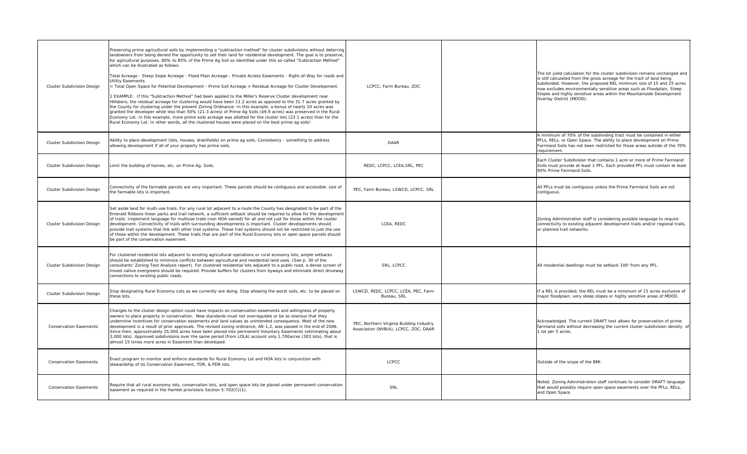| <b>Cluster Subdivision Design</b> | Preserving prime agricultural soils by implementing a "subtraction method" for cluster subdivisions without deterring<br>landowners from being denied the opportunity to sell their land for residential development. The goal is to preserve,<br>for agricultural purposes, 80% to 85% of the Prime Ag Soil so identified under this so-called "Subtraction Method"<br>which can be illustrated as follows:<br>Total Acreage - Steep Slope Acreage - Flood Plain Acreage - Private Access Easements - Right-of-Way for roads and<br><b>Utility Easements</b><br>= Total Open Space for Potential Development - Prime Soil Acreage = Residual Acreage for Cluster Development.<br>1 EXAMPLE: If this "Subtraction Method" had been applied to the Miller's Reserve Cluster development near<br>Hillsboro, the residual acreage for clustering would have been 11.2 acres as opposed to the 31.7 acres granted by<br>the County for clustering under the present Zoning Ordinance. In this example, a bonus of nearly 20 acres was<br>granted the developer while less than 50% (21.3 acres) of Prime Ag Soils (49.9 acres) was preserved in the Rural<br>Economy Lot. In this example, more prime soils acreage was allotted for the cluster lots (23.1 acres) than for the<br>Rural Economy Lot. In other words, all the clustered houses were placed on the best prime ag soils! | LCPCC, Farm Bureau, ZOC                                                           | The lot yield calculation for the cluster subdivision remains unchanged and<br>is still calculated from the gross acreage for the tract of land being<br>subdivided. However, the proposed REL minimum size of 15 and 25 acres<br>now excludes environmentally sensitive areas such as Floodplain, Steep<br>Slopes and highly sensitive areas within the Mountainside Development<br>Overlay District (MDOD). |
|-----------------------------------|------------------------------------------------------------------------------------------------------------------------------------------------------------------------------------------------------------------------------------------------------------------------------------------------------------------------------------------------------------------------------------------------------------------------------------------------------------------------------------------------------------------------------------------------------------------------------------------------------------------------------------------------------------------------------------------------------------------------------------------------------------------------------------------------------------------------------------------------------------------------------------------------------------------------------------------------------------------------------------------------------------------------------------------------------------------------------------------------------------------------------------------------------------------------------------------------------------------------------------------------------------------------------------------------------------------------------------------------------------------------------------|-----------------------------------------------------------------------------------|---------------------------------------------------------------------------------------------------------------------------------------------------------------------------------------------------------------------------------------------------------------------------------------------------------------------------------------------------------------------------------------------------------------|
| <b>Cluster Subdivision Design</b> | Ability to place development (lots, houses, drainfields) on prime ag soils. Consistency - something to address<br>allowing development if all of your property has prime soils.                                                                                                                                                                                                                                                                                                                                                                                                                                                                                                                                                                                                                                                                                                                                                                                                                                                                                                                                                                                                                                                                                                                                                                                                    | <b>DAAR</b>                                                                       | A minimum of 70% of the subdividing tract must be contained in either<br>PFLs, RELs, or Open Space. The ability to place development on Prime<br>Farmland Soils has not been restricted for those areas outside of the 70%<br>requirement                                                                                                                                                                     |
| <b>Cluster Subdivision Design</b> | Limit the building of homes, etc. on Prime Ag. Soils.                                                                                                                                                                                                                                                                                                                                                                                                                                                                                                                                                                                                                                                                                                                                                                                                                                                                                                                                                                                                                                                                                                                                                                                                                                                                                                                              | REDC, LCPCC, LCEA, SRL, PEC                                                       | Each Cluster Subdivision that contains 1 acre or more of Prime Farmland<br>Soils must provide at least 1 PFL. Each provided PFL must contain at least<br>90% Prime Farmland Soils.                                                                                                                                                                                                                            |
| <b>Cluster Subdivision Design</b> | Connectivity of the farmable parcels are very important. These parcels should be contiguous and accessible. size of<br>the farmable lots is important.                                                                                                                                                                                                                                                                                                                                                                                                                                                                                                                                                                                                                                                                                                                                                                                                                                                                                                                                                                                                                                                                                                                                                                                                                             | PEC, Farm Bureau, LSWCD, LCPCC, SRL                                               | All PFLs must be contiguous unless the Prime Farmland Soils are not<br>contiguous.                                                                                                                                                                                                                                                                                                                            |
| <b>Cluster Subdivision Design</b> | Set aside land for multi-use trails. For any rural lot adjacent to a route the County has designated to be part of the<br>Emerald Ribbons linear parks and trail network, a sufficient setback should be required to allow for the development<br>of trails. Implement language for multiuse trails (non HOA owned) for all and not just for those within the cluster<br>development. Connectivity of trails with surrounding developments is important. Cluster developments should<br>provide trail systems that link with other trail systems. These trail systems should not be restricted to just the use<br>of those within the development. These trails that are part of the Rural Economy lots or open space parcels should<br>be part of the conservation easement.                                                                                                                                                                                                                                                                                                                                                                                                                                                                                                                                                                                                      | LCEA, REDC                                                                        | Zoning Administration staff is considering possible language to require<br>connectivity to existing adjacent development trails and/or regional trails,<br>or planned trail networks.                                                                                                                                                                                                                         |
| <b>Cluster Subdivision Design</b> | For clustered residential lots adjacent to existing agricultural operations or rural economy lots, ample setbacks<br>should be established to minimize conflicts between agricultural and residential land uses. (See p. 30 of the<br>consultants' Zoning Text Analysis report). For clustered residential lots adjacent to a public road, a dense screen of<br>mixed native evergreens should be required. Provide buffers for clusters from byways and eliminate direct driveway<br>connections to existing public roads.                                                                                                                                                                                                                                                                                                                                                                                                                                                                                                                                                                                                                                                                                                                                                                                                                                                        | SRL, LCPCC                                                                        | All residential dwellings must be setback 100' from any PFL.                                                                                                                                                                                                                                                                                                                                                  |
| <b>Cluster Subdivision Design</b> | Stop designating Rural Economy Lots as we currently are doing. Stop allowing the worst soils, etc. to be placed on<br>these lots.                                                                                                                                                                                                                                                                                                                                                                                                                                                                                                                                                                                                                                                                                                                                                                                                                                                                                                                                                                                                                                                                                                                                                                                                                                                  | LSWCD, REDC, LCPCC, LCEA, PEC, Farm<br>Bureau, SRL                                | If a REL is provided, the REL must be a minimum of 15 acres exclusive of<br>major floodplain, very steep slopes or highly sensitive areas of MDOD.                                                                                                                                                                                                                                                            |
| <b>Conservation Easements</b>     | Changes to the cluster design option could have impacts on conservation easements and willingness of property<br>owners to place property in conservation. New standards must not overregulate or be so onerous that they<br>undermine incentives for conservation easements and land values as unintended consequence. Most of the new<br>development is a result of prior approvals. The revised zoning ordinance, AR-1,2, was passed in the end of 2006.<br>Since then, approximately 25,000 acres have been placed into permanent Voluntary Easements (eliminating about<br>3,000 lots). Approved subdivisions over the same period (from LOLA) account only 1,700 acres (303 lots), that is<br>almost 15 times more acres in Easement than developed.                                                                                                                                                                                                                                                                                                                                                                                                                                                                                                                                                                                                                         | PEC, Northern Virginia Building Industry<br>Association (NVBIA), LCPCC, ZOC, DAAR | Acknowledged. The current DRAFT text allows for preservation of prime<br>farmland soils without decreasing the current cluster subdivision density of<br>1 lot per 5 acres.                                                                                                                                                                                                                                   |
| <b>Conservation Easements</b>     | Enact program to monitor and enforce standards for Rural Economy Lot and HOA lots in conjunction with<br>stewardship of its Conservation Easement, TDR, & PDR lots.                                                                                                                                                                                                                                                                                                                                                                                                                                                                                                                                                                                                                                                                                                                                                                                                                                                                                                                                                                                                                                                                                                                                                                                                                | <b>LCPCC</b>                                                                      | Outside of the scope of the BMI.                                                                                                                                                                                                                                                                                                                                                                              |
| <b>Conservation Easements</b>     | Require that all rural economy lots, conservation lots, and open space lots be placed under permanent conservation<br>easement as required in the Hamlet provisions Section 5-702(C)(1).                                                                                                                                                                                                                                                                                                                                                                                                                                                                                                                                                                                                                                                                                                                                                                                                                                                                                                                                                                                                                                                                                                                                                                                           | <b>SRL</b>                                                                        | Noted. Zoning Administration staff continues to consider DRAFT language<br>that would possibly require open space easements over the PFLs, RELs,<br>and Open Space.                                                                                                                                                                                                                                           |
|                                   |                                                                                                                                                                                                                                                                                                                                                                                                                                                                                                                                                                                                                                                                                                                                                                                                                                                                                                                                                                                                                                                                                                                                                                                                                                                                                                                                                                                    |                                                                                   |                                                                                                                                                                                                                                                                                                                                                                                                               |

```
ins unchanged and
tained in either
nent on Prime
vutside of the 70%
vation of prime
paradion density of
```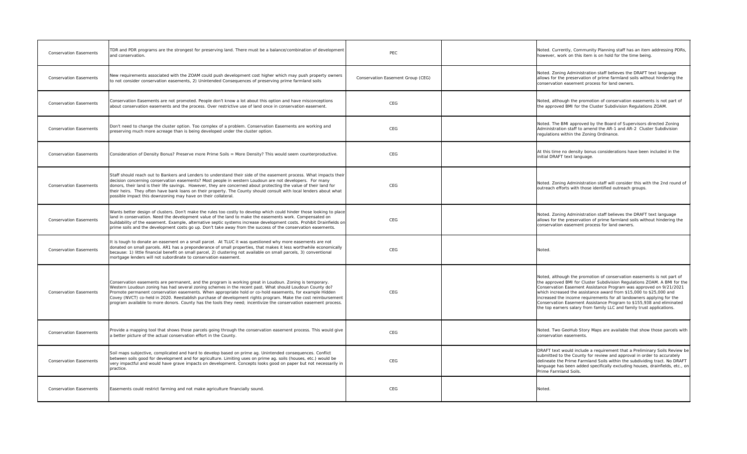| <b>Conservation Easements</b> | TDR and PDR programs are the strongest for preserving land. There must be a balance/combination of development<br>and conservation.                                                                                                                                                                                                                                                                                                                                                                                                                                  | <b>PEC</b>                        | Noted. Currently, Community Planning staff has an item addressing PDRs,<br>however, work on this item is on hold for the time being.                                                                                                                                                                                                                                                                                                                                                                                     |
|-------------------------------|----------------------------------------------------------------------------------------------------------------------------------------------------------------------------------------------------------------------------------------------------------------------------------------------------------------------------------------------------------------------------------------------------------------------------------------------------------------------------------------------------------------------------------------------------------------------|-----------------------------------|--------------------------------------------------------------------------------------------------------------------------------------------------------------------------------------------------------------------------------------------------------------------------------------------------------------------------------------------------------------------------------------------------------------------------------------------------------------------------------------------------------------------------|
| <b>Conservation Easements</b> | New requirements associated with the ZOAM could push development cost higher which may push property owners<br>to not consider conservation easements, 2) Unintended Consequences of preserving prime farmland soils                                                                                                                                                                                                                                                                                                                                                 | Conservation Easement Group (CEG) | Noted. Zoning Administration staff believes the DRAFT text language<br>allows for the preservation of prime farmland soils without hindering the<br>conservation easement process for land owners.                                                                                                                                                                                                                                                                                                                       |
| <b>Conservation Easements</b> | Conservation Easements are not promoted. People don't know a lot about this option and have misconceptions<br>about conservation easements and the process. Over restrictive use of land once in conservation easement.                                                                                                                                                                                                                                                                                                                                              | CEG                               | Noted, although the promotion of conservation easements is not part of<br>the approved BMI for the Cluster Subdivision Regulations ZOAM.                                                                                                                                                                                                                                                                                                                                                                                 |
| <b>Conservation Easements</b> | Don't need to change the cluster option. Too complex of a problem. Conservation Easements are working and<br>preserving much more acreage than is being developed under the cluster option.                                                                                                                                                                                                                                                                                                                                                                          | CEG                               | Noted. The BMI approved by the Board of Supervisors directed Zoning<br>Administration staff to amend the AR-1 and AR-2 Cluster Subdivision<br>regulations within the Zoning Ordinance.                                                                                                                                                                                                                                                                                                                                   |
| <b>Conservation Easements</b> | Consideration of Density Bonus? Preserve more Prime Soils = More Density? This would seem counterproductive.                                                                                                                                                                                                                                                                                                                                                                                                                                                         | CEG                               | At this time no density bonus considerations have been included in the<br>initial DRAFT text language.                                                                                                                                                                                                                                                                                                                                                                                                                   |
| <b>Conservation Easements</b> | Staff should reach out to Bankers and Lenders to understand their side of the easement process. What impacts their<br>decision concerning conservation easements? Most people in western Loudoun are not developers. For many<br>donors, their land is their life savings. However, they are concerned about protecting the value of their land for<br>their heirs. They often have bank loans on their property. The County should consult with local lenders about what<br>possible impact this downzoning may have on their collateral.                           | <b>CEG</b>                        | Noted. Zoning Administration staff will consider this with the 2nd round of<br>outreach efforts with those identified outreach groups.                                                                                                                                                                                                                                                                                                                                                                                   |
| <b>Conservation Easements</b> | Wants better design of clusters. Don't make the rules too costly to develop which could hinder those looking to place<br>land in conservation. Need the development value of the land to make the easements work. Compensated on<br>buildability of the easement. Example, alternative septic systems increase development costs. Prohibit Drainfields on<br>prime soils and the development costs go up. Don't take away from the success of the conservation easements.                                                                                            | CEG                               | Noted. Zoning Administration staff believes the DRAFT text language<br>allows for the preservation of prime farmland soils without hindering the<br>conservation easement process for land owners.                                                                                                                                                                                                                                                                                                                       |
| <b>Conservation Easements</b> | It is tough to donate an easement on a small parcel. At TLUC it was questioned why more easements are not<br>donated on small parcels. AR1 has a preponderance of small properties, that makes it less worthwhile economically<br>(because: 1) little financial benefit on small parcel, 2) clustering not available on small parcels, 3) conventional<br>mortgage lenders will not subordinate to conservation easement.                                                                                                                                            | CEG                               | Noted.                                                                                                                                                                                                                                                                                                                                                                                                                                                                                                                   |
| <b>Conservation Easements</b> | Conservation easements are permanent, and the program is working great in Loudoun. Zoning is temporary.<br>Western Loudoun zoning has had several zoning schemes in the recent past. What should Loudoun County do?<br>Promote permanent conservation easements. When appropriate hold or co-hold easements, for example Hidden<br>Covey (NVCT) co-held in 2020. Reestablish purchase of development rights program. Make the cost reimbursement<br>program available to more donors. County has the tools they need; incentivize the conservation easement process. | CEG                               | Noted, although the promotion of conservation easements is not part of<br>the approved BMI for Cluster Subdivision Regulations ZOAM. A BMI for the<br>Conservation Easement Assistance Program was approved on 9/21/2021<br>which increased the assistance award from \$15,000 to \$25,000 and<br>increased the income requirements for all landowners applying for the<br>Conservation Easement Assistance Program to \$155,938 and eliminated<br>the top earners salary from family LLC and family trust applications. |
| <b>Conservation Easements</b> | Provide a mapping tool that shows those parcels going through the conservation easement process. This would give<br>a better picture of the actual conservation effort in the County.                                                                                                                                                                                                                                                                                                                                                                                | CEG                               | Noted. Two GeoHub Story Maps are available that show those parcels with<br>conservation easements.                                                                                                                                                                                                                                                                                                                                                                                                                       |
| <b>Conservation Easements</b> | Soil maps subjective, complicated and hard to develop based on prime ag. Unintended consequences. Conflict<br>between soils good for development and for agriculture. Limiting uses on prime ag. soils (houses, etc.) would be<br>very impactful and would have grave impacts on development. Concepts looks good on paper but not necessarily in $\, \,$<br>practice.                                                                                                                                                                                               | <b>CEG</b>                        | DRAFT text would include a requirement that a Preliminary Soils Review be<br>submitted to the County for review and approval in order to accurately<br>delineate the Prime Farmland Soils within the subdividing tract. No DRAFT<br>language has been added specifically excluding houses, drainfields, etc., or<br>Prime Farmland Soils.                                                                                                                                                                                |
| <b>Conservation Easements</b> | Easements could restrict farming and not make agriculture financially sound.                                                                                                                                                                                                                                                                                                                                                                                                                                                                                         | CEG                               | Noted.                                                                                                                                                                                                                                                                                                                                                                                                                                                                                                                   |
|                               |                                                                                                                                                                                                                                                                                                                                                                                                                                                                                                                                                                      |                                   |                                                                                                                                                                                                                                                                                                                                                                                                                                                                                                                          |

```
nts is not part of<br>is ZOAM.
irected Zoning
er Subdivision
ext language
but hindering the
applications.
ary Soils Review be
J<br>drainfields, etc., on
```

| <b>Conservation Easements</b> | TDR and PDR programs are the strongest for preserving land. There must be a balance/combination of development<br>and conservation.                                                                                                                                                                                                                                                                                                                                                                                                                                  | <b>PEC</b>                        | Noted.<br>howey                                                     |
|-------------------------------|----------------------------------------------------------------------------------------------------------------------------------------------------------------------------------------------------------------------------------------------------------------------------------------------------------------------------------------------------------------------------------------------------------------------------------------------------------------------------------------------------------------------------------------------------------------------|-----------------------------------|---------------------------------------------------------------------|
| <b>Conservation Easements</b> | New requirements associated with the ZOAM could push development cost higher which may push property owners<br>to not consider conservation easements, 2) Unintended Consequences of preserving prime farmland soils                                                                                                                                                                                                                                                                                                                                                 | Conservation Easement Group (CEG) | Noted.<br>allows<br>conser                                          |
| <b>Conservation Easements</b> | Conservation Easements are not promoted. People don't know a lot about this option and have misconceptions<br>about conservation easements and the process. Over restrictive use of land once in conservation easement.                                                                                                                                                                                                                                                                                                                                              | <b>CEG</b>                        | Noted,<br>the ap                                                    |
| <b>Conservation Easements</b> | Don't need to change the cluster option. Too complex of a problem. Conservation Easements are working and<br>preserving much more acreage than is being developed under the cluster option.                                                                                                                                                                                                                                                                                                                                                                          | <b>CEG</b>                        | Noted.<br>Admin<br>regula                                           |
| <b>Conservation Easements</b> | Consideration of Density Bonus? Preserve more Prime Soils = More Density? This would seem counterproductive.                                                                                                                                                                                                                                                                                                                                                                                                                                                         | <b>CEG</b>                        | At this<br>initial                                                  |
| <b>Conservation Easements</b> | Staff should reach out to Bankers and Lenders to understand their side of the easement process. What impacts their<br>decision concerning conservation easements? Most people in western Loudoun are not developers. For many<br>donors, their land is their life savings. However, they are concerned about protecting the value of their land for<br>their heirs. They often have bank loans on their property. The County should consult with local lenders about what<br>possible impact this downzoning may have on their collateral.                           | <b>CEG</b>                        | Noted.<br>outrea                                                    |
| <b>Conservation Easements</b> | Wants better design of clusters. Don't make the rules too costly to develop which could hinder those looking to place<br>land in conservation. Need the development value of the land to make the easements work. Compensated on<br> buildability of the easement. Example, alternative septic systems increase development costs. Prohibit Drainfields on <br>prime soils and the development costs go up. Don't take away from the success of the conservation easements.                                                                                          | CEG                               | Noted.<br>allows<br>conser                                          |
| <b>Conservation Easements</b> | It is tough to donate an easement on a small parcel. At TLUC it was questioned why more easements are not<br>donated on small parcels. AR1 has a preponderance of small properties, that makes it less worthwhile economically<br>because: 1) little financial benefit on small parcel, 2) clustering not available on small parcels, 3) conventional<br>mortgage lenders will not subordinate to conservation easement.                                                                                                                                             | CEG                               | Noted.                                                              |
| <b>Conservation Easements</b> | Conservation easements are permanent, and the program is working great in Loudoun. Zoning is temporary.<br>Western Loudoun zoning has had several zoning schemes in the recent past. What should Loudoun County do?<br>Promote permanent conservation easements. When appropriate hold or co-hold easements, for example Hidden<br>Covey (NVCT) co-held in 2020. Reestablish purchase of development rights program. Make the cost reimbursement<br>program available to more donors. County has the tools they need; incentivize the conservation easement process. | <b>CEG</b>                        | Noted,<br>the ap<br>Conser<br>which<br>increas<br>Conser<br>the top |
| <b>Conservation Easements</b> | Provide a mapping tool that shows those parcels going through the conservation easement process. This would give<br>a better picture of the actual conservation effort in the County.                                                                                                                                                                                                                                                                                                                                                                                | <b>CEG</b>                        | Noted.<br>conser                                                    |
| <b>Conservation Easements</b> | Soil maps subjective, complicated and hard to develop based on prime ag. Unintended consequences. Conflict<br>between soils good for development and for agriculture. Limiting uses on prime ag. soils (houses, etc.) would be<br>very impactful and would have grave impacts on development. Concepts looks good on paper but not necessarily in<br>practice.                                                                                                                                                                                                       | <b>CEG</b>                        | <b>DRAFT</b><br>submit<br>delinea<br>langua<br>Prime                |
| <b>Conservation Easements</b> | Easements could restrict farming and not make agriculture financially sound.                                                                                                                                                                                                                                                                                                                                                                                                                                                                                         | CEG                               | Noted.                                                              |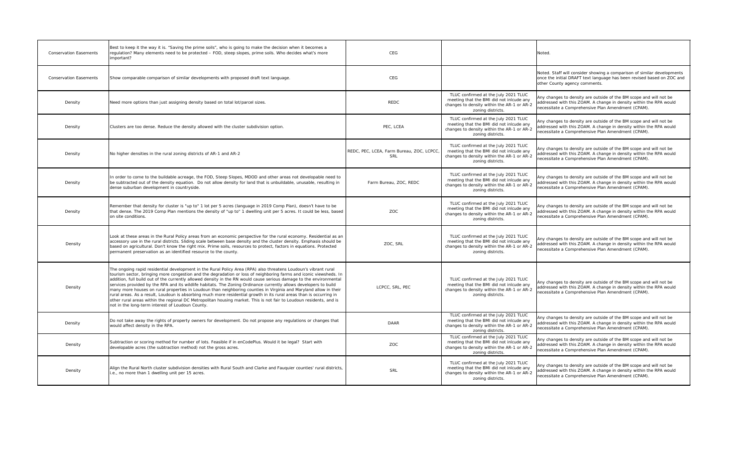| <b>Conservation Easements</b> | Best to keep it the way it is. "Saving the prime soils", who is going to make the decision when it becomes a<br>regulation? Many elements need to be protected - FOD, steep slopes, prime soils. Who decides what's more<br>important?                                                                                                                                                                                                                                                                                                                                                                                                                                                                                                                                                                                                                                                                   | <b>CEG</b>                                             |                                                                                                                                                     | Noted.                                                                                                                                                                                         |
|-------------------------------|----------------------------------------------------------------------------------------------------------------------------------------------------------------------------------------------------------------------------------------------------------------------------------------------------------------------------------------------------------------------------------------------------------------------------------------------------------------------------------------------------------------------------------------------------------------------------------------------------------------------------------------------------------------------------------------------------------------------------------------------------------------------------------------------------------------------------------------------------------------------------------------------------------|--------------------------------------------------------|-----------------------------------------------------------------------------------------------------------------------------------------------------|------------------------------------------------------------------------------------------------------------------------------------------------------------------------------------------------|
| <b>Conservation Easements</b> | Show comparable comparison of similar developments with proposed draft text language.                                                                                                                                                                                                                                                                                                                                                                                                                                                                                                                                                                                                                                                                                                                                                                                                                    | <b>CEG</b>                                             |                                                                                                                                                     | Noted. Staff will consider showing a comparison of similar developments<br>once the initial DRAFT text language has been revised based on ZOC and<br>other County agency comments.             |
| Density                       | Need more options than just assigning density based on total lot/parcel sizes.                                                                                                                                                                                                                                                                                                                                                                                                                                                                                                                                                                                                                                                                                                                                                                                                                           | <b>REDC</b>                                            | TLUC confirmed at the July 2021 TLUC<br>meeting that the BMI did not inlcude any<br>changes to density within the AR-1 or AR-2<br>zoning districts. | Any changes to density are outside of the BM scope and will not be<br>addressed with this ZOAM. A change in density within the RPA would<br>necessitate a Comprehensive Plan Amendment (CPAM). |
| Density                       | Clusters are too dense. Reduce the density allowed with the cluster subdivision option.                                                                                                                                                                                                                                                                                                                                                                                                                                                                                                                                                                                                                                                                                                                                                                                                                  | PEC, LCEA                                              | TLUC confirmed at the July 2021 TLUC<br>meeting that the BMI did not inlcude any<br>changes to density within the AR-1 or AR-2<br>zoning districts. | Any changes to density are outside of the BM scope and will not be<br>addressed with this ZOAM. A change in density within the RPA would<br>necessitate a Comprehensive Plan Amendment (CPAM). |
| Density                       | No higher densities in the rural zoning districts of AR-1 and AR-2                                                                                                                                                                                                                                                                                                                                                                                                                                                                                                                                                                                                                                                                                                                                                                                                                                       | REDC, PEC, LCEA, Farm Bureau, ZOC, LCPCC<br><b>SRI</b> | TLUC confirmed at the July 2021 TLUC<br>meeting that the BMI did not inlcude any<br>changes to density within the AR-1 or AR-2<br>zoning districts. | Any changes to density are outside of the BM scope and will not be<br>addressed with this ZOAM. A change in density within the RPA would<br>necessitate a Comprehensive Plan Amendment (CPAM). |
| Density                       | In order to come to the buildable acreage, the FOD, Steep Slopes, MDOD and other areas not developable need to<br>be subtracted out of the density equation. Do not allow density for land that is unbuildable, unusable, resulting in<br>dense suburban development in countryside.                                                                                                                                                                                                                                                                                                                                                                                                                                                                                                                                                                                                                     | Farm Bureau, ZOC, REDC                                 | TLUC confirmed at the July 2021 TLUC<br>meeting that the BMI did not inlcude any<br>changes to density within the AR-1 or AR-2<br>zoning districts. | Any changes to density are outside of the BM scope and will not be<br>addressed with this ZOAM. A change in density within the RPA would<br>necessitate a Comprehensive Plan Amendment (CPAM). |
| Density                       | Remember that density for cluster is "up to" 1 lot per 5 acres (language in 2019 Comp Plan), doesn't have to be<br>that dense. The 2019 Comp Plan mentions the density of "up to" 1 dwelling unit per 5 acres. It could be less, based<br>on site conditions.                                                                                                                                                                                                                                                                                                                                                                                                                                                                                                                                                                                                                                            | <b>ZOC</b>                                             | TLUC confirmed at the July 2021 TLUC<br>meeting that the BMI did not inlcude any<br>changes to density within the AR-1 or AR-2<br>zoning districts. | Any changes to density are outside of the BM scope and will not be<br>addressed with this ZOAM. A change in density within the RPA would<br>necessitate a Comprehensive Plan Amendment (CPAM). |
| Density                       | Look at these areas in the Rural Policy areas from an economic perspective for the rural economy. Residential as an<br>accessory use in the rural districts. Sliding scale between base density and the cluster density. Emphasis should be<br>based on agricultural. Don't know the right mix. Prime soils, resources to protect, factors in equations. Protected<br>permanent preservation as an identified resource to the county.                                                                                                                                                                                                                                                                                                                                                                                                                                                                    | ZOC, SRL                                               | TLUC confirmed at the July 2021 TLUC<br>meeting that the BMI did not inlcude any<br>changes to density within the AR-1 or AR-2<br>zoning districts. | Any changes to density are outside of the BM scope and will not be<br>addressed with this ZOAM. A change in density within the RPA would<br>necessitate a Comprehensive Plan Amendment (CPAM). |
| Density                       | The ongoing rapid residential development in the Rural Policy Area (RPA) also threatens Loudoun's vibrant rural<br>tourism sector, bringing more congestion and the degradation or loss of neighboring farms and iconic viewsheds. In<br>addition, full build out of the currently allowed density in the RN would cause serious damage to the environmental<br>services provided by the RPA and its wildlife habitats. The Zoning Ordinance currently allows developers to build<br>many more houses on rural properties in Loudoun than neighboring counties in Virginia and Maryland allow in their<br>rural areas. As a result, Loudoun is absorbing much more residential growth in its rural areas than is occurring in<br>other rural areas within the regional DC Metropolitan housing market. This is not fair to Loudoun residents, and is<br>not in the long-term interest of Loudoun County. | LCPCC, SRL, PEC                                        | TLUC confirmed at the July 2021 TLUC<br>meeting that the BMI did not inlcude any<br>changes to density within the AR-1 or AR-2<br>zoning districts. | Any changes to density are outside of the BM scope and will not be<br>addressed with this ZOAM. A change in density within the RPA would<br>necessitate a Comprehensive Plan Amendment (CPAM). |
| Density                       | Do not take away the rights of property owners for development. Do not propose any regulations or changes that<br>would affect density in the RPA.                                                                                                                                                                                                                                                                                                                                                                                                                                                                                                                                                                                                                                                                                                                                                       | <b>DAAR</b>                                            | TLUC confirmed at the July 2021 TLUC<br>meeting that the BMI did not inlcude any<br>changes to density within the AR-1 or AR-2<br>zoning districts. | Any changes to density are outside of the BM scope and will not be<br>addressed with this ZOAM. A change in density within the RPA would<br>necessitate a Comprehensive Plan Amendment (CPAM). |
| Density                       | Subtraction or scoring method for number of lots. Feasible if in enCodePlus. Would it be legal? Start with<br>developable acres (the subtraction method) not the gross acres.                                                                                                                                                                                                                                                                                                                                                                                                                                                                                                                                                                                                                                                                                                                            | <b>ZOC</b>                                             | TLUC confirmed at the July 2021 TLUC<br>meeting that the BMI did not inlcude any<br>changes to density within the AR-1 or AR-2<br>zoning districts. | Any changes to density are outside of the BM scope and will not be<br>addressed with this ZOAM. A change in density within the RPA would<br>necessitate a Comprehensive Plan Amendment (CPAM). |
| Density                       | Align the Rural North cluster subdivision densities with Rural South and Clarke and Fauguier counties' rural districts,<br>i.e., no more than 1 dwelling unit per 15 acres.                                                                                                                                                                                                                                                                                                                                                                                                                                                                                                                                                                                                                                                                                                                              | SRL                                                    | TLUC confirmed at the July 2021 TLUC<br>meeting that the BMI did not inlcude any<br>changes to density within the AR-1 or AR-2<br>zoning districts. | Any changes to density are outside of the BM scope and will not be<br>addressed with this ZOAM. A change in density within the RPA would<br>necessitate a Comprehensive Plan Amendment (CPAM). |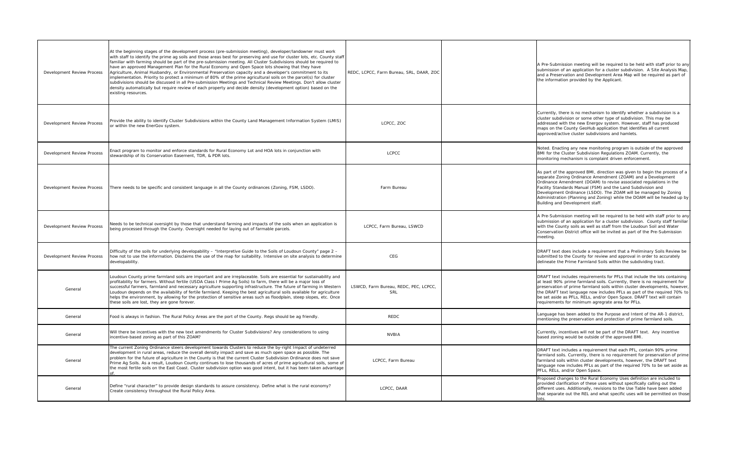| Development Review Process | At the beginning stages of the development process (pre-submission meeting), developer/landowner must work<br>with staff to identify the prime ag soils and those areas best for preserving and use for cluster lots, etc. County staff<br>familiar with farming should be part of the pre-submission meeting. All Cluster Subdivisions should be required to<br>have an approved Management Plan for the Rural Economy and Open Space lots showing that they have<br>Agriculture, Animal Husbandry, or Environmental Preservation capacity and a developer's commitment to its<br>implementation. Priority to protect a minimum of 80% of the prime agricultural soils on the parcel(s) for cluster<br>subdivisions should be discussed in all Pre-submission Meetings and Technical Review Meetings. Don't allow cluster<br>density automatically but require review of each property and decide density (development option) based on the<br>existing resources. | REDC, LCPCC, Farm Bureau, SRL, DAAR, ZOC            | A Pre-Submission meeting will be required to be held with staff prior to any<br>submission of an application for a cluster subdivision. A Site Analysis Map,<br>and a Preservation and Development Area Map will be required as part of<br>the information provided by the Applicant.                                                                                                                                                                               |
|----------------------------|---------------------------------------------------------------------------------------------------------------------------------------------------------------------------------------------------------------------------------------------------------------------------------------------------------------------------------------------------------------------------------------------------------------------------------------------------------------------------------------------------------------------------------------------------------------------------------------------------------------------------------------------------------------------------------------------------------------------------------------------------------------------------------------------------------------------------------------------------------------------------------------------------------------------------------------------------------------------|-----------------------------------------------------|---------------------------------------------------------------------------------------------------------------------------------------------------------------------------------------------------------------------------------------------------------------------------------------------------------------------------------------------------------------------------------------------------------------------------------------------------------------------|
| Development Review Process | Provide the ability to identify Cluster Subdivisions within the County Land Management Information System (LMIS)<br>or within the new EnerGov system.                                                                                                                                                                                                                                                                                                                                                                                                                                                                                                                                                                                                                                                                                                                                                                                                               | LCPCC, ZOC                                          | Currently, there is no mechanism to identify whether a subdivision is a<br>cluster subdivision or some other type of subdivision. This may be<br>addressed with the new Energov system. However, staff has produced<br>maps on the County GeoHub application that identifies all current<br>approved/active cluster subdivisions and hamlets.                                                                                                                       |
| Development Review Process | Enact program to monitor and enforce standards for Rural Economy Lot and HOA lots in conjunction with<br>stewardship of its Conservation Easement, TDR, & PDR lots.                                                                                                                                                                                                                                                                                                                                                                                                                                                                                                                                                                                                                                                                                                                                                                                                 | <b>LCPCC</b>                                        | Noted. Enacting any new monitoring program is outside of the approved<br>BMI for the Cluster Subdivision Regulations ZOAM. Currently, the<br>monitoring mechanism is complaint driven enforcement.                                                                                                                                                                                                                                                                  |
| Development Review Process | There needs to be specific and consistent language in all the County ordinances (Zoning, FSM, LSDO).                                                                                                                                                                                                                                                                                                                                                                                                                                                                                                                                                                                                                                                                                                                                                                                                                                                                | Farm Bureau                                         | As part of the approved BMI, direction was given to begin the process of a<br>separate Zoning Ordinance Amendment (ZOAM) and a Development<br>Ordinance Amendment (DOAM) to revise associated regulations in the<br>Facility Standards Manual (FSM) and the Land Subdivision and<br>Development Ordinance (LSDO). The ZOAM will be managed by Zoning<br>Administration (Planning and Zoning) while the DOAM will be headed up by<br>Building and Development staff. |
| Development Review Process | Needs to be technical oversight by those that understand farming and impacts of the soils when an application is<br>being processed through the County. Oversight needed for laying out of farmable parcels.                                                                                                                                                                                                                                                                                                                                                                                                                                                                                                                                                                                                                                                                                                                                                        | LCPCC, Farm Bureau, LSWCD                           | A Pre-Submission meeting will be required to be held with staff prior to any<br>submission of an application for a cluster subdivision. County staff familiar<br>with the County soils as well as staff from the Loudoun Soil and Water<br>Conservation District office will be invited as part of the Pre-Submission<br>meeting.                                                                                                                                   |
| Development Review Process | Difficulty of the soils for underlying developability – "Interpretive Guide to the Soils of Loudoun County" page 2 –<br>how not to use the information. Disclaims the use of the map for suitability. Intensive on site analysis to determine<br>developability.                                                                                                                                                                                                                                                                                                                                                                                                                                                                                                                                                                                                                                                                                                    | <b>CEG</b>                                          | DRAFT text does include a requirement that a Preliminary Soils Review be<br>submitted to the County for review and approval in order to accurately<br>delineate the Prime Farmland Soils within the subdividing tract.                                                                                                                                                                                                                                              |
| General                    | Loudoun County prime farmland soils are important and are irreplaceable. Soils are essential for sustainability and<br>profitability for farmers. Without fertile (USDA Class I Prime Ag Soils) to farm, there will be a major loss of<br>successful farmers, farmland and necessary agriculture supporting infrastructure. The future of farming in Western<br>Loudoun depends on the availability of fertile farmland. Keeping the best agricultural soils available for agriculture<br>helps the environment, by allowing for the protection of sensitive areas such as floodplain, steep slopes, etc. Once<br>these soils are lost, they are gone forever.                                                                                                                                                                                                                                                                                                      | LSWCD, Farm Bureau, REDC, PEC, LCPCC,<br><b>SRL</b> | DRAFT text includes requirements for PFLs that include the lots containing<br>at least 90% prime farmland soils. Currently, there is no requirement for<br>preservation of prime farmland soils within cluster developments, however,<br>the DRAFT text language now includes PFLs as part of the required 70% to<br>be set aside as PFLs, RELs, and/or Open Space. DRAFT text will contain<br>requirements for minimum agregrate area for PFLs.                    |
| General                    | Food is always in fashion. The Rural Policy Areas are the port of the County. Regs should be ag friendly.                                                                                                                                                                                                                                                                                                                                                                                                                                                                                                                                                                                                                                                                                                                                                                                                                                                           | <b>REDC</b>                                         | Language has been added to the Purpose and Intent of the AR-1 district,<br>mentioning the preservation and protection of prime farmland soils.                                                                                                                                                                                                                                                                                                                      |
| General                    | Will there be incentives with the new text amendments for Cluster Subdivisions? Any considerations to using<br>incentive-based zoning as part of this ZOAM?                                                                                                                                                                                                                                                                                                                                                                                                                                                                                                                                                                                                                                                                                                                                                                                                         | <b>NVBIA</b>                                        | Currently, incentives will not be part of the DRAFT text. Any incentive<br>based zoning would be outside of the approved BMI.                                                                                                                                                                                                                                                                                                                                       |
| General                    | The current Zoning Ordinance steers development towards Clusters to reduce the by-right Impact of undeterred<br>development in rural areas, reduce the overall density impact and save as much open space as possible. The<br>problem for the future of agriculture in the County is that the current Cluster Subdivision Ordinance does not save<br>Prime Ag Soils. As a result, Loudoun County continues to lose thousands of acres of prime agricultural soils, some of<br>the most fertile soils on the East Coast. Cluster subdivision option was good intent, but it has been taken advantage                                                                                                                                                                                                                                                                                                                                                                 | LCPCC, Farm Bureau                                  | DRAFT text includes a requirement that each PFL, contain 90% prime<br>farmland soils. Currently, there is no requirement for preservation of prime<br>farmland soils within cluster developments, however, the DRAFT text<br>language now includes PFLs as part of the required 70% to be set aside as<br>PFLs, RELs, and/or Open Space.                                                                                                                            |
| General                    | Define "rural character" to provide design standards to assure consistency. Define what is the rural economy?<br>Create consistency throughout the Rural Policy Area.                                                                                                                                                                                                                                                                                                                                                                                                                                                                                                                                                                                                                                                                                                                                                                                               | LCPCC, DAAR                                         | Proposed changes to the Rural Economy Uses definition are included to<br>provided clarification of these uses without specifically calling out the<br>different uses. Additionally, revisions to the Use Table have been added<br>that separate out the REL and what specific uses will be permitted on those<br>lots.                                                                                                                                              |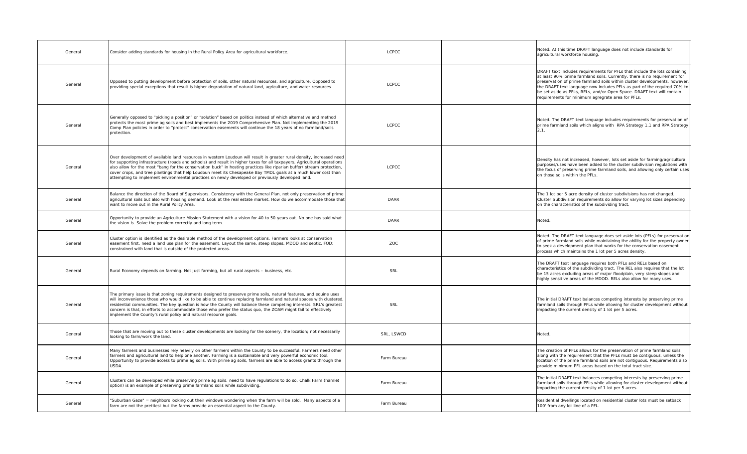| General | Consider adding standards for housing in the Rural Policy Area for agricultural workforce.                                                                                                                                                                                                                                                                                                                                                                                                                                                                                                      | <b>LCPCC</b> | Noted. At this time DRAFT language does not include standards for<br>agricultural workforce housing.                                                                                                                                                                                                                                                                                                                                             |
|---------|-------------------------------------------------------------------------------------------------------------------------------------------------------------------------------------------------------------------------------------------------------------------------------------------------------------------------------------------------------------------------------------------------------------------------------------------------------------------------------------------------------------------------------------------------------------------------------------------------|--------------|--------------------------------------------------------------------------------------------------------------------------------------------------------------------------------------------------------------------------------------------------------------------------------------------------------------------------------------------------------------------------------------------------------------------------------------------------|
| General | Opposed to putting development before protection of soils, other natural resources, and agriculture. Opposed to<br>providing special exceptions that result is higher degradation of natural land, agriculture, and water resources                                                                                                                                                                                                                                                                                                                                                             | <b>LCPCC</b> | DRAFT text includes requirements for PFLs that include the lots containing<br>at least 90% prime farmland soils. Currently, there is no requirement for<br>preservation of prime farmland soils within cluster developments, however,<br>the DRAFT text language now includes PFLs as part of the required 70% to<br>be set aside as PFLs, RELs, and/or Open Space. DRAFT text will contain<br>requirements for minimum agregrate area for PFLs. |
| General | Generally opposed to "picking a position" or "solution" based on politics instead of which alternative and method<br>protects the most prime ag soils and best implements the 2019 Comprehensive Plan. Not implementing the 2019<br>Comp Plan policies in order to "protect" conservation easements will continue the 18 years of no farmland/soils<br>protection.                                                                                                                                                                                                                              | <b>LCPCC</b> | Noted. The DRAFT text language includes requirements for preservation of<br>prime farmland soils which aligns with RPA Strategy 1.1 and RPA Strategy<br>2.1.                                                                                                                                                                                                                                                                                     |
| General | Over development of available land resources in western Loudoun will result in greater rural density, increased need<br>for supporting infrastructure (roads and schools) and result in higher taxes for all taxpayers. Agricultural operations<br>also allow for the most "bang for the conservation buck" in hosting practices like riparian buffer/ stream protection,<br>cover crops, and tree plantings that help Loudoun meet its Chesapeake Bay TMDL goals at a much lower cost than<br>attempting to implement environmental practices on newly developed or previously developed land. | LCPCC        | Density has not increased, however, lots set aside for farming/agricultural<br>purposes/uses have been added to the cluster subdivision regulations with<br>the focus of preserving prime farmland soils, and allowing only certain uses<br>on those soils within the PFLs.                                                                                                                                                                      |
| General | Balance the direction of the Board of Supervisors. Consistency with the General Plan, not only preservation of prime<br>agricultural soils but also with housing demand. Look at the real estate market. How do we accommodate those that<br>want to move out in the Rural Policy Area.                                                                                                                                                                                                                                                                                                         | DAAR         | The 1 lot per 5 acre density of cluster subdivisions has not changed.<br>Cluster Subdivision requirements do allow for varying lot sizes depending<br>on the characteristics of the subdividing tract.                                                                                                                                                                                                                                           |
| General | Opportunity to provide an Agriculture Mission Statement with a vision for 40 to 50 years out. No one has said what<br>the vision is. Solve the problem correctly and long term.                                                                                                                                                                                                                                                                                                                                                                                                                 | <b>DAAR</b>  | Noted                                                                                                                                                                                                                                                                                                                                                                                                                                            |
| General | Cluster option is identified as the desirable method of the development options. Farmers looks at conservation<br>easement first, need a land use plan for the easement. Layout the same, steep slopes, MDOD and septic, FOD;<br>constrained with land that is outside of the protected areas.                                                                                                                                                                                                                                                                                                  | <b>ZOC</b>   | Noted. The DRAFT text language does set aside lots (PFLs) for preservation<br>of prime farmland soils while maintaining the ability for the property owner<br>to seek a development plan that works for the conservation easement<br>process which maintains the 1 lot per 5 acres density.                                                                                                                                                      |
| General | Rural Economy depends on farming. Not just farming, but all rural aspects – business, etc.                                                                                                                                                                                                                                                                                                                                                                                                                                                                                                      | <b>SRL</b>   | The DRAFT text language requires both PFLs and RELs based on<br>characteristics of the subdividing tract. The REL also requires that the lot<br>be 15 acres excluding areas of major floodplain, very steep slopes and<br>highly sensitive areas of the MDOD. RELs also allow for many uses.                                                                                                                                                     |
| General | The primary issue is that zoning requirements designed to preserve prime soils, natural features, and equine uses<br>will inconvenience those who would like to be able to continue replacing farmland and natural spaces with clustered,<br>residential communities. The key question is how the County will balance these competing interests. SRL's greatest<br>concern is that, in efforts to accommodate those who prefer the status quo, the ZOAM might fail to effectively<br>implement the County's rural policy and natural resource goals.                                            | <b>SRL</b>   | The initial DRAFT text balances competing interests by preserving prime<br>farmland soils through PFLs while allowing for cluster development without<br>impacting the current density of 1 lot per 5 acres.                                                                                                                                                                                                                                     |
| General | Those that are moving out to these cluster developments are looking for the scenery, the location; not necessarily<br>looking to farm/work the land.                                                                                                                                                                                                                                                                                                                                                                                                                                            | SRL, LSWCD   | Noted.                                                                                                                                                                                                                                                                                                                                                                                                                                           |
| General | Many farmers and businesses rely heavily on other farmers within the County to be successful. Farmers need other<br>farmers and agricultural land to help one another. Farming is a sustainable and very powerful economic tool.<br>Opportunity to provide access to prime ag soils. With prime ag soils, farmers are able to access grants through the<br>USDA.                                                                                                                                                                                                                                | Farm Bureau  | The creation of PFLs allows for the preservation of prime farmland soils<br>along with the requirement that the PFLs must be contiguous, unless the<br>location of the prime farmland soils are not contiguous. Requirements also<br>provide minimum PFL areas based on the total tract size.                                                                                                                                                    |
| General | Clusters can be developed while preserving prime ag soils, need to have regulations to do so. Chalk Farm (hamlet<br>option) is an example of preserving prime farmland soils while subdividing.                                                                                                                                                                                                                                                                                                                                                                                                 | Farm Bureau  | The initial DRAFT text balances competing interests by preserving prime<br>farmland soils through PFLs while allowing for cluster development without<br>impacting the current density of 1 lot per 5 acres.                                                                                                                                                                                                                                     |
| General | "Suburban Gaze" = neighbors looking out their windows wondering when the farm will be sold. Many aspects of a<br>farm are not the prettiest but the farms provide an essential aspect to the County.                                                                                                                                                                                                                                                                                                                                                                                            | Farm Bureau  | Residential dwellings located on residential cluster lots must be setback<br>100' from any lot line of a PFL.                                                                                                                                                                                                                                                                                                                                    |
|         |                                                                                                                                                                                                                                                                                                                                                                                                                                                                                                                                                                                                 |              |                                                                                                                                                                                                                                                                                                                                                                                                                                                  |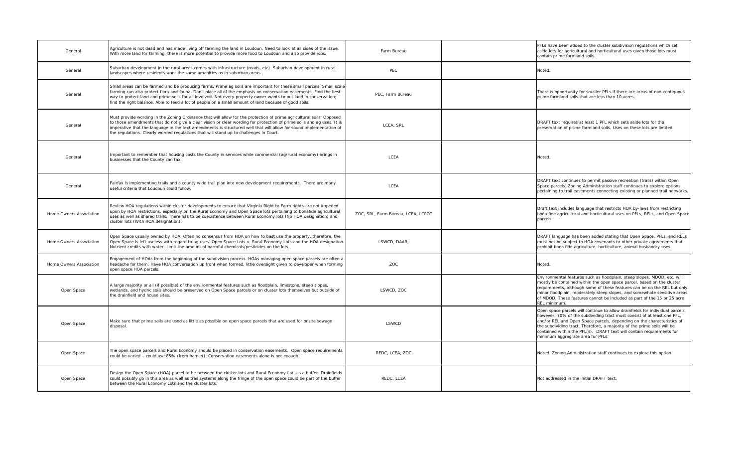| General                 | Agriculture is not dead and has made living off farming the land in Loudoun. Need to look at all sides of the issue.<br>With more land for farming, there is more potential to provide more food to Loudoun and also provide jobs.                                                                                                                                                                                                                                      | Farm Bureau                        | PFLs have been added to the cluster subdivision regulations which set<br>aside lots for agricultural and horticultural uses given those lots must<br>contain prime farmland soils.                                                                                                                                                                                                                                          |
|-------------------------|-------------------------------------------------------------------------------------------------------------------------------------------------------------------------------------------------------------------------------------------------------------------------------------------------------------------------------------------------------------------------------------------------------------------------------------------------------------------------|------------------------------------|-----------------------------------------------------------------------------------------------------------------------------------------------------------------------------------------------------------------------------------------------------------------------------------------------------------------------------------------------------------------------------------------------------------------------------|
| General                 | Suburban development in the rural areas comes with infrastructure (roads, etc). Suburban development in rural<br>landscapes where residents want the same amenities as in suburban areas.                                                                                                                                                                                                                                                                               | <b>PEC</b>                         | Noted.                                                                                                                                                                                                                                                                                                                                                                                                                      |
| General                 | Small areas can be farmed and be producing farms. Prime ag soils are important for these small parcels. Small scale<br>farming can also protect flora and fauna. Don't place all of the emphasis on conservation easements. Find the best<br>way to protect land and prime soils for all involved. Not every property owner wants to put land in conservation;<br>find the right balance. Able to feed a lot of people on a small amount of land because of good soils. | PEC, Farm Bureau                   | There is opportunity for smaller PFLs if there are areas of non-contiguous<br>prime farmland soils that are less than 10 acres.                                                                                                                                                                                                                                                                                             |
| General                 | Must provide wording in the Zoning Ordinance that will allow for the protection of prime agricultural soils. Opposed<br>to those amendments that do not give a clear vision or clear wording for protection of prime soils and ag uses. It is<br>imperative that the language in the text amendments is structured well that will allow for sound implementation of<br>the regulations. Clearly worded regulations that will stand up to challenges in Court.           | LCEA, SRL                          | DRAFT text requires at least 1 PFL which sets aside lots for the<br>preservation of prime farmland soils. Uses on these lots are limited.                                                                                                                                                                                                                                                                                   |
| General                 | Important to remember that housing costs the County in services while commercial (ag/rural economy) brings in<br>businesses that the County can tax.                                                                                                                                                                                                                                                                                                                    | <b>LCEA</b>                        | <b>Noted</b>                                                                                                                                                                                                                                                                                                                                                                                                                |
| General                 | Fairfax is implementing trails and a county wide trail plan into new development requirements. There are many<br>useful criteria that Loudoun could follow.                                                                                                                                                                                                                                                                                                             | <b>LCEA</b>                        | DRAFT text continues to permit passive recreation (trails) within Open<br>Space parcels. Zoning Administration staff continues to explore options<br>pertaining to trail easements connecting existing or planned trail networks.                                                                                                                                                                                           |
| Home Owners Association | Review HOA regulations within cluster developments to ensure that Virginia Right to Farm rights are not impeded<br>upon by HOA restrictions, especially on the Rural Economy and Open Space lots pertaining to bonafide agricultural<br>uses as well as shared trails. There has to be coexistence between Rural Economy lots (No HOA designation) and<br>cluster lots (With HOA designation).                                                                          | ZOC, SRL, Farm Bureau, LCEA, LCPCC | Draft text includes language that restricts HOA by-laws from restricting<br>bona fide agricultural and horticultural uses on PFLs, RELs, and Open Space<br>parcels.                                                                                                                                                                                                                                                         |
| Home Owners Association | Open Space usually owned by HOA. Often no consensus from HOA on how to best use the property, therefore, the<br>Open Space is left useless with regard to ag uses. Open Space Lots v. Rural Economy Lots and the HOA designation.<br>Nutrient credits with water. Limit the amount of harmful chemicals/pesticides on the lots.                                                                                                                                         | LSWCD, DAAR,                       | DRAFT language has been added stating that Open Space, PFLs, and RELs<br>must not be subject to HOA covenants or other private agreements that<br>prohibit bona fide agriculture, horticulture, animal husbandry uses.                                                                                                                                                                                                      |
| Home Owners Association | Engagement of HOAs from the beginning of the subdivision process. HOAs managing open space parcels are often a<br>headache for them. Have HOA conversation up front when formed, little oversight given to developer when forming<br>open space HOA parcels.                                                                                                                                                                                                            | ZOC                                | Noted.                                                                                                                                                                                                                                                                                                                                                                                                                      |
| Open Space              | A large majority or all (if possible) of the environmental features such as floodplain, limestone, steep slopes,<br>wetlands, and hydric soils should be preserved on Open Space parcels or on cluster lots themselves but outside of<br>the drainfield and house sites.                                                                                                                                                                                                | LSWCD, ZOC                         | Environmental features such as floodplain, steep slopes, MDOD, etc. will<br>mostly be contained within the open space parcel, based on the cluster<br>requirements, although some of these features can be on the REL but only<br>minor floodplain, moderately steep slopes, and somewhate sensitive areas<br>of MDOD. These features cannot be included as part of the 15 or 25 acre<br>REL minimum.                       |
| Open Space              | Make sure that prime soils are used as little as possible on open space parcels that are used for onsite sewage<br>disposal                                                                                                                                                                                                                                                                                                                                             | LSWCD                              | Open space parcels will continue to allow drainfields for individual parcels,<br>however, 70% of the subdividing tract must consist of at least one PFL,<br>and/or REL and Open Space parcels, depending on the characteristics of<br>the subdividing tract. Therefore, a majority of the prime soils will be<br>contained within the PFL(s). DRAFT text will contain requirements for<br>minimum aggregrate area for PFLs. |
| Open Space              | The open space parcels and Rural Economy should be placed in conservation easements. Open space requirements<br>could be varied - could use 85% (from hamlet). Conservation easements alone is not enough.                                                                                                                                                                                                                                                              | REDC, LCEA, ZOC                    | Noted. Zoning Administration staff continues to explore this option.                                                                                                                                                                                                                                                                                                                                                        |
| Open Space              | Design the Open Space (HOA) parcel to be between the cluster lots and Rural Economy Lot, as a buffer. Drainfields<br>could possibly go in this area as well as trail systems along the fringe of the open space could be part of the buffer<br>between the Rural Economy Lots and the cluster lots.                                                                                                                                                                     | REDC, LCEA                         | Not addressed in the initial DRAFT text.                                                                                                                                                                                                                                                                                                                                                                                    |
|                         |                                                                                                                                                                                                                                                                                                                                                                                                                                                                         |                                    |                                                                                                                                                                                                                                                                                                                                                                                                                             |

| ns which set<br>se lots must                                                                  |
|-----------------------------------------------------------------------------------------------|
|                                                                                               |
| non-contiguous                                                                                |
| or the<br>re limited.                                                                         |
|                                                                                               |
| within Open<br>xplore options<br>ed trail networks.                                           |
| om restricting<br>, and Open Space                                                            |
| , PFLs, and RELs<br>greements that<br>dry uses.                                               |
|                                                                                               |
| ADOD, etc. will<br>on the cluster<br>the REL but only<br>e sensitive areas<br>e 15 or 25 acre |
| dividual parcels,<br>least one PFL,<br>aracteristics of<br>oils will be<br>irements for       |
| is option.                                                                                    |
|                                                                                               |
|                                                                                               |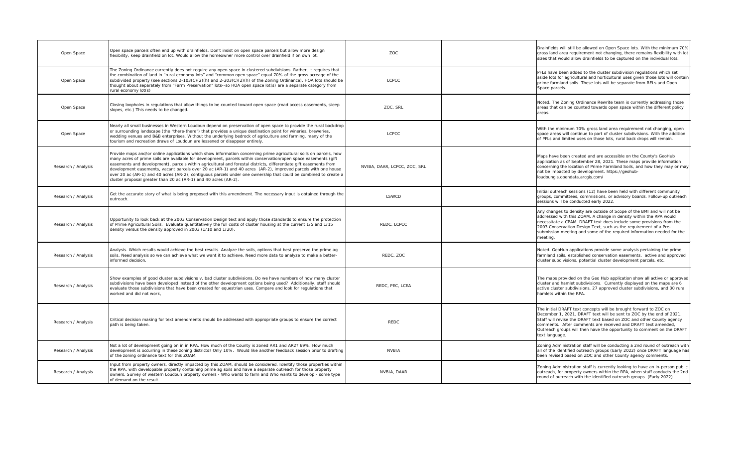| Open Space          | Open space parcels often end up with drainfields. Don't insist on open space parcels but allow more design<br>flexibility, keep drainfield on lot. Would allow the homeowner more control over drainfield if on own lot.                                                                                                                                                                                                                                                                                                                                                                                                                                          | <b>ZOC</b>                   | Drainfields will still be allowed on Open Space lots. With the minimum 70%<br>gross land area requirement not changing, there remains flexibility with lot<br>sizes that would allow drainfields to be captured on the individual lots.                                                                                                                                         |
|---------------------|-------------------------------------------------------------------------------------------------------------------------------------------------------------------------------------------------------------------------------------------------------------------------------------------------------------------------------------------------------------------------------------------------------------------------------------------------------------------------------------------------------------------------------------------------------------------------------------------------------------------------------------------------------------------|------------------------------|---------------------------------------------------------------------------------------------------------------------------------------------------------------------------------------------------------------------------------------------------------------------------------------------------------------------------------------------------------------------------------|
| Open Space          | The Zoning Ordinance currently does not require any open space in clustered subdivisions. Rather, it requires that<br>the combination of land in "rural economy lots" and "common open space" equal 70% of the gross acreage of the<br>subdivided property (see sections 2-103(C)(2)(h) and 2-203(C)(2)(h) of the Zoning Ordinance). HOA lots should be<br>thought about separately from "Farm Preservation" lots--so HOA open space lot(s) are a separate category from<br>rural economy lot(s)                                                                                                                                                                  | <b>LCPCC</b>                 | <b>PFLs have been added to the cluster subdivision regulations which set</b><br>aside lots for agricultural and horticultural uses given those lots will contain<br>prime farmland soils. These lots will be separate from RELs and Open<br>Space parcels.                                                                                                                      |
| Open Space          | Closing loopholes in regulations that allow things to be counted toward open space (road access easements, steep<br>slopes, etc.) This needs to be changed.                                                                                                                                                                                                                                                                                                                                                                                                                                                                                                       | ZOC, SRL                     | Noted. The Zoning Ordinance Rewrite team is currently addressing those<br>areas that can be counted towards open space within the different policy<br>areas.                                                                                                                                                                                                                    |
| Open Space          | Nearly all small businesses in Western Loudoun depend on preservation of open space to provide the rural backdrop<br>or surrounding landscape (the "there-there") that provides a unique destination point for wineries, breweries,<br>wedding venues and B&B enterprises. Without the underlying bedrock of agriculture and farming, many of the<br>tourism and recreation draws of Loudoun are lessened or disappear entirely.                                                                                                                                                                                                                                  | <b>LCPCC</b>                 | With the minimum 70% gross land area requirement not changing, open<br>space areas will continue to part of cluster subdivisions. With the addition<br>of PFLs and limited uses on those lots, rural back drops will remain.                                                                                                                                                    |
| Research / Analysis | Provide maps and/or online applications which show information concerning prime agricultural soils on parcels, how<br>many acres of prime soils are available for development, parcels within conservation/open space easements (gift<br>easements and development), parcels within agricultural and forestal districts, differentiate gift easements from<br>development easements, vacant parcels over 20 ac (AR-1) and 40 acres (AR-2), improved parcels with one house<br>over 20 ac (AR-1) and 40 acres (AR-2), contiguous parcels under one ownership that could be combined to create a<br>cluster proposal greater than 20 ac (AR-1) and 40 acres (AR-2). | NVIBA, DAAR, LCPCC, ZOC, SRL | Maps have been created and are accessible on the County's GeoHub<br>application as of September 28, 2021. These maps provide information<br>concerning the location of Prime Farmland Soils, and how they may or may<br>not be impacted by development. https://geohub-<br>loudoungis.opendata.arcgis.com/                                                                      |
| Research / Analysis | Get the accurate story of what is being proposed with this amendment. The necessary input is obtained through the<br>outreach.                                                                                                                                                                                                                                                                                                                                                                                                                                                                                                                                    | LSWCD                        | Initial outreach sessions (12) have been held with different community<br>groups, committees, commissions, or advisory boards. Follow-up outreach<br>sessions will be conducted early 2022.                                                                                                                                                                                     |
| Research / Analysis | Opportunity to look back at the 2003 Conservation Design text and apply those standards to ensure the protection<br>of Prime Agricultural Soils. Evaluate quantitatively the full costs of cluster housing at the current 1/5 and 1/15<br>density versus the density approved in 2003 (1/10 and 1/20).                                                                                                                                                                                                                                                                                                                                                            | REDC, LCPCC                  | Any changes to density are outside of Scope of the BMI and will not be<br>addressed with this ZOAM. A change in density within the RPA would<br>necessitate a CPAM. DRAFT text does include some provisions from the<br>2003 Conservation Design Text, such as the requirement of a Pre-<br>submission meeting and some of the required information needed for the<br>meeting.  |
| Research / Analysis | Analysis. Which results would achieve the best results. Analyze the soils, options that best preserve the prime ag<br>soils. Need analysis so we can achieve what we want it to achieve. Need more data to analyze to make a better-<br>informed decision.                                                                                                                                                                                                                                                                                                                                                                                                        | REDC, ZOC                    | Noted. GeoHub applications provide some analysis pertaining the prime<br>farmland soils, established conservation easements, active and approved<br>cluster subdivisions, potential cluster development parcels, etc.                                                                                                                                                           |
| Research / Analysis | Show examples of good cluster subdivisions v. bad cluster subdivisions. Do we have numbers of how many cluster<br>subdivisions have been developed instead of the other development options being used? Additionally, staff should<br>evaluate those subdivisions that have been created for equestrian uses. Compare and look for regulations that<br>worked and did not work,                                                                                                                                                                                                                                                                                   | REDC, PEC, LCEA              | The maps provided on the Geo Hub application show all active or approved<br>cluster and hamlet subdivisions. Currently displayed on the maps are 6<br>active cluster subdivisions, 27 approved cluster subdivisions, and 30 rural<br>hamlets within the RPA.                                                                                                                    |
| Research / Analysis | Critical decision making for text amendments should be addressed with appropriate groups to ensure the correct<br>path is being taken.                                                                                                                                                                                                                                                                                                                                                                                                                                                                                                                            | <b>REDC</b>                  | The initial DRAFT text concepts will be brought forward to ZOC on<br>December 1, 2021. DRAFT text will be sent to ZOC by the end of 2021.<br>Staff will revise the DRAFT text based on ZOC and other County agency<br>comments. After comments are received and DRAFT text amended,<br>Outreach groups will then have the opportunity to comment on the DRAFT<br>text language. |
| Research / Analysis | Not a lot of development going on in in RPA. How much of the County is zoned AR1 and AR2? 69%. How much<br>development is occurring in these zoning districts? Only 10%. Would like another feedback session prior to drafting<br>of the zoning ordinance text for this ZOAM.                                                                                                                                                                                                                                                                                                                                                                                     | <b>NVBIA</b>                 | Zoning Administration staff will be conducting a 2nd round of outreach with<br>all of the identified outreach groups (Early 2022) once DRAFT language has<br>been revised based on ZOC and other County agency comments.                                                                                                                                                        |
| Research / Analysis | Input from property owners, directly impacted by this ZOAM, should be considered. Identify those properties within<br>the RPA, with developable property containing prime ag soils and have a separate outreach for those property<br>owners. Survey of western Loudoun property owners - Who wants to farm and Who wants to develop - some type<br>of demand on the result.                                                                                                                                                                                                                                                                                      | NVBIA, DAAR                  | Zoning Administration staff is currently looking to have an in-person public<br>outreach, for property owners within the RPA, when staff conducts the 2nd<br>round of outreach with the identified outreach groups. (Early 2022)                                                                                                                                                |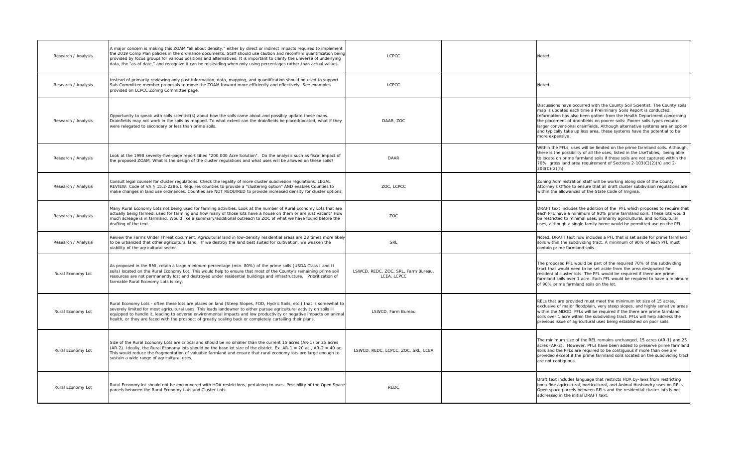| Research / Analysis | A major concern is making this ZOAM "all about density," either by direct or indirect impacts required to implement<br>the 2019 Comp Plan policies in the ordinance documents. Staff should use caution and reconfirm quantification being<br>provided by focus groups for various positions and alternatives. It is important to clarify the universe of underlying<br>data, the "as-of date," and recognize it can be misleading when only using percentages rather than actual values. | <b>LCPCC</b>                                       | Noted.                                                                                                                                                                                                                                                                                                                                                                                                                                                                             |
|---------------------|-------------------------------------------------------------------------------------------------------------------------------------------------------------------------------------------------------------------------------------------------------------------------------------------------------------------------------------------------------------------------------------------------------------------------------------------------------------------------------------------|----------------------------------------------------|------------------------------------------------------------------------------------------------------------------------------------------------------------------------------------------------------------------------------------------------------------------------------------------------------------------------------------------------------------------------------------------------------------------------------------------------------------------------------------|
| Research / Analysis | Instead of primarily reviewing only past information, data, mapping, and quantification should be used to support<br>Sub-Committee member proposals to move the ZOAM forward more efficiently and effectively. See examples<br>provided on LCPCC Zoning Committee page.                                                                                                                                                                                                                   | <b>LCPCC</b>                                       | <b>Noted</b>                                                                                                                                                                                                                                                                                                                                                                                                                                                                       |
| Research / Analysis | Opportunity to speak with soils scientist(s) about how the soils came about and possibly update those maps.<br>Drainfields may not work in the soils as mapped. To what extent can the drainfields be placed/located, what if they<br>were relegated to secondary or less than prime soils.                                                                                                                                                                                               | DAAR, ZOC                                          | Discussions have occurred with the County Soil Scientist. The County soils<br>map is updated each time a Preliminary Soils Report is conducted.<br>Information has also been gather from the Health Department concerning<br>the placement of drainfields on poorer soils: Poorer soils types require<br>larger conventional drainfields. Although alternative systems are an option<br>and typically take up less area, these systems have the potential to be<br>more expensive. |
| Research / Analysis | Look at the 1998 seventy-five-page report titled "200,000 Acre Solution". Do the analysis such as fiscal impact of<br>the proposed ZOAM. What is the design of the cluster regulations and what uses will be allowed on these soils?                                                                                                                                                                                                                                                      | <b>DAAR</b>                                        | Within the PFLs, uses will be limited on the prime farmland soils. Although<br>there is the possibility of all the uses, listed in the UseTables, being able<br>to locate on prime farmland soils if those soils are not captured within the<br>70% gross land area requirement of Sections 2-103(C)(2)(h) and 2-<br>203(C)(2)(h)                                                                                                                                                  |
| Research / Analysis | Consult legal counsel for cluster regulations. Check the legality of more cluster subdivision regulations. LEGAL<br>REVIEW: Code of VA § 15.2-2286.1 Requires counties to provide a "clustering option" AND enables Counties to<br>make changes in land use ordinances. Counties are NOT REQUIRED to provide increased density for cluster options.                                                                                                                                       | ZOC, LCPCC                                         | Zoning Administration staff will be working along side of the County<br>Attorney's Office to ensure that all draft cluster subdivision regulations are<br>within the allowances of the State Code of Virginia.                                                                                                                                                                                                                                                                     |
| Research / Analysis | Many Rural Economy Lots not being used for farming activities. Look at the number of Rural Economy Lots that are<br>actually being farmed, used for farming and how many of those lots have a house on them or are just vacant? How<br>much acreage is in farmland. Would like a summary/additional outreach to ZOC of what we have found before the<br>drafting of the text.                                                                                                             | <b>ZOC</b>                                         | DRAFT text includes the addition of the PFL which proposes to require that<br>each PFL have a minimum of 90% prime farmland soils. These lots would<br>be restricted to minimal uses, primarily agricrultural, and horticultural<br>uses, although a single family home would be permitted use on the PFL.                                                                                                                                                                         |
| Research / Analysis | Review the Farms Under Threat document. Agricultural land in low-density residential areas are 23 times more likely<br>to be urbanized that other agricultural land. If we destroy the land best suited for cultivation, we weaken the<br>viability of the agricultural sector.                                                                                                                                                                                                           | SRL                                                | Noted. DRAFT text now includes a PFL that is set aside for prime farmland<br>soils within the subdividing tract. A minimum of 90% of each PFL must<br>contain prime farmland soils.                                                                                                                                                                                                                                                                                                |
| Rural Economy Lot   | As proposed in the BMI, retain a large minimum percentage (min. 80%) of the prime soils (USDA Class I and II<br>soils) located on the Rural Economy Lot. This would help to ensure that most of the County's remaining prime soil<br>resources are not permanently lost and destroyed under residential buildings and infrastructure. Prioritization of<br>farmable Rural Economy Lots is key.                                                                                            | LSWCD, REDC, ZOC, SRL, Farm Bureau,<br>LCEA, LCPCC | The proposed PFL would be part of the required 70% of the subdividing<br>tract that would need to be set aside from the area designated for<br>residential cluster lots. The PFL would be required if there are prime<br>farmland soils over 1 acre. Each PFL would be required to have a minimum<br>of 90% prime farmland soils on the lot.                                                                                                                                       |
| Rural Economy Lot   | Rural Economy Lots - often these lots are places on land (Steep Slopes, FOD, Hydric Soils, etc.) that is somewhat to<br>severely limited for most agricultural uses. This leads landowner to either pursue agricultural activity on soils ill<br>equipped to handle it, leading to adverse environmental impacts and low productivity or negative impacts on animal<br>health, or they are faced with the prospect of greatly scaling back or completely curtailing their plans.          | LSWCD, Farm Bureau                                 | RELs that are provided must meet the minimum lot size of 15 acres,<br>exclusive of major floodplain, very steep slopes, and highly sensitive areas<br>within the MDOD. PFLs will be required if the there are prime farmland<br>soils over 1 acre within the subdividing tract. PFLs will help address the<br>previous issue of agricultural uses being established on poor soils.                                                                                                 |
| Rural Economy Lot   | Size of the Rural Economy Lots are critical and should be no smaller than the current 15 acres (AR-1) or 25 acres<br>$(AR-2)$ . Ideally, the Rural Economy lots should be the base lot size of the district. Ex. AR-1 = 20 ac, AR-2 = 40 ac.<br>This would reduce the fragmentation of valuable farmland and ensure that rural economy lots are large enough to<br>sustain a wide range of agricultural uses.                                                                             | LSWCD, REDC, LCPCC, ZOC, SRL, LCEA                 | The minimum size of the REL remains unchanged, 15 acres (AR-1) and 25<br>acres (AR-2). However, PFLs have been added to preserve prime farmland<br>soils and the PFLs are required to be contiguous if more than one are<br>provided except if the prime farmland soils located on the subdividing tract<br>are not contiguous.                                                                                                                                                    |
| Rural Economy Lot   | Rural Economy lot should not be encumbered with HOA restrictions, pertaining to uses. Possibility of the Open Space<br>parcels between the Rural Economy Lots and Cluster Lots.                                                                                                                                                                                                                                                                                                           | <b>REDC</b>                                        | Draft text includes language that restricts HOA by-laws from restricting<br>bona fide agricultural, horticultural, and Animal Husbandry uses on RELs.<br>Open space parcels between RELs and the residential cluster lots is not<br>addressed in the initial DRAFT text.                                                                                                                                                                                                           |
|                     |                                                                                                                                                                                                                                                                                                                                                                                                                                                                                           |                                                    |                                                                                                                                                                                                                                                                                                                                                                                                                                                                                    |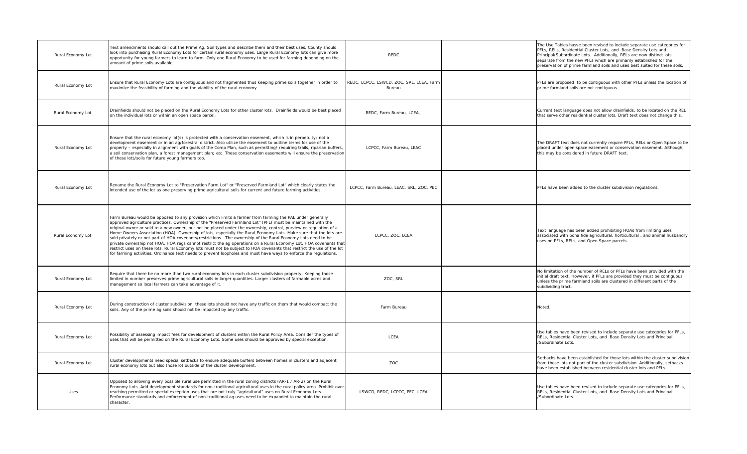| Rural Economy Lot | Text amendments should call out the Prime Ag. Soil types and describe them and their best uses. County should<br>look into purchasing Rural Economy Lots for certain rural economy uses. Large Rural Economy lots can give more<br>opportunity for young farmers to learn to farm. Only one Rural Economy to be used for farming depending on the<br>amount of prime soils available.                                                                                                                                                                                                                                                                                                                                                                                                                                                                                                                                                             | <b>REDC</b>                                        | The Use Tables hasve been revised to include separate use categories for<br>PFLs, RELs, Residential Cluster Lots, and Base Density Lots and<br>Principal/Subordinate Lots. Additionally, RELs are now distinct lots<br>separate from the new PFLs which are primarily established for the<br>preservation of prime farmland soils and uses best suited for these soils. |
|-------------------|---------------------------------------------------------------------------------------------------------------------------------------------------------------------------------------------------------------------------------------------------------------------------------------------------------------------------------------------------------------------------------------------------------------------------------------------------------------------------------------------------------------------------------------------------------------------------------------------------------------------------------------------------------------------------------------------------------------------------------------------------------------------------------------------------------------------------------------------------------------------------------------------------------------------------------------------------|----------------------------------------------------|-------------------------------------------------------------------------------------------------------------------------------------------------------------------------------------------------------------------------------------------------------------------------------------------------------------------------------------------------------------------------|
| Rural Economy Lot | Ensure that Rural Economy Lots are contiguous and not fragmented thus keeping prime soils together in order to<br>maximize the feasibility of farming and the viability of the rural economy.                                                                                                                                                                                                                                                                                                                                                                                                                                                                                                                                                                                                                                                                                                                                                     | REDC, LCPCC, LSWCD, ZOC, SRL, LCEA, Farm<br>Bureau | PFLs are proposed to be contiguous with other PFLs unless the location of<br>prime farmland soils are not contiguous.                                                                                                                                                                                                                                                   |
| Rural Economy Lot | Drainfields should not be placed on the Rural Economy Lots for other cluster lots. Drainfields would be best placed<br>on the individual lots or within an open space parcel.                                                                                                                                                                                                                                                                                                                                                                                                                                                                                                                                                                                                                                                                                                                                                                     | REDC, Farm Bureau, LCEA,                           | Current text language does not allow drainfields, to be located on the REL<br>that serve other residential cluster lots. Draft text does not change this.                                                                                                                                                                                                               |
| Rural Economy Lot | Ensure that the rural economy lot(s) is protected with a conservation easement, which is in perpetuity; not a<br>development easement or in an ag/forestral district. Also utilize the easement to outline terms for use of the<br>property – especially in alignment with goals of the Comp Plan, such as permitting/ requiring trails, riparian buffers,<br>a soil conservation plan, a forest management plan; etc. These conservation easements will ensure the preservation<br>of these lots/soils for future young farmers too.                                                                                                                                                                                                                                                                                                                                                                                                             | LCPCC, Farm Bureau, LEAC                           | The DRAFT text does not currently require PFLs, RELs or Open Space to be<br>placed under open space easement or conservation easement. Although,<br>this may be considered in future DRAFT text.                                                                                                                                                                        |
| Rural Economy Lot | Rename the Rural Economy Lot to "Preservation Farm Lot" or "Preserved Farmland Lot" which clearly states the<br>intended use of the lot as one preserving prime agricultural soils for current and future farming activities.                                                                                                                                                                                                                                                                                                                                                                                                                                                                                                                                                                                                                                                                                                                     | LCPCC, Farm Bureau, LEAC, SRL, ZOC, PEC            | PFLs have been added to the cluster subdivision regulations.                                                                                                                                                                                                                                                                                                            |
| Rural Economy Lot | Farm Bureau would be opposed to any provision which limits a farmer from farming the PAL under generally<br>approved agriculture practices. Ownership of the "Preserved Farmland Lot" (PFL) must be maintained with the<br>original owner or sold to a new owner, but not be placed under the ownership, control, purview or regulation of a<br>Home Owners Association (HOA). Ownership of lots, especially the Rural Economy Lots. Make sure that the lots are<br>sold privately or not part of HOA covenants/restrictions. The ownership of the Rural Economy Lots need to be<br>private ownership not HOA. HOA regs cannot restrict the ag operations on a Rural Economy Lot. HOA covenants that<br>restrict uses on these lots. Rural Economy lots must not be subject to HOA covenants that restrict the use of the lot<br>for farming activities. Ordinance text needs to prevent loopholes and must have ways to enforce the regulations. | LCPCC, ZOC, LCEA                                   | Text language has been added prohibiting HOAs from limiting uses<br>associated with bona fide agricultural, horticultural, and animal husbandry<br>uses on PFLs, RELs, and Open Space parcels.                                                                                                                                                                          |
| Rural Economy Lot | Require that there be no more than two rural economy lots in each cluster subdivision property. Keeping those<br>limited in number preserves prime agricultural soils in larger quantities. Larger clusters of farmable acres and<br>management so local farmers can take advantage of it.                                                                                                                                                                                                                                                                                                                                                                                                                                                                                                                                                                                                                                                        | ZOC, SRL                                           | No limitation of the number of RELs or PFLs have been provided with the<br>initial draft text. However, if PFLs are provided they must be contiguous<br>unless the prime farmland soils are clustered in different parts of the<br>subdividing tract.                                                                                                                   |
| Rural Economy Lot | During construction of cluster subdivision, these lots should not have any traffic on them that would compact the<br>soils. Any of the prime ag soils should not be impacted by any traffic.                                                                                                                                                                                                                                                                                                                                                                                                                                                                                                                                                                                                                                                                                                                                                      | Farm Bureau                                        | Noted.                                                                                                                                                                                                                                                                                                                                                                  |
| Rural Economy Lot | Possibility of assessing impact fees for development of clusters within the Rural Policy Area. Consider the types of<br>uses that will be permitted on the Rural Economy Lots. Some uses should be approved by special exception.                                                                                                                                                                                                                                                                                                                                                                                                                                                                                                                                                                                                                                                                                                                 | <b>LCEA</b>                                        | Use tables have been revised to include separate use categories for PFLs,<br>RELs, Residential Cluster Lots, and Base Density Lots and Principal<br>/Subordinate Lots.                                                                                                                                                                                                  |
| Rural Economy Lot | Cluster developments need special setbacks to ensure adequate buffers between homes in clusters and adjacent<br>rural economy lots but also those lot outside of the cluster development.                                                                                                                                                                                                                                                                                                                                                                                                                                                                                                                                                                                                                                                                                                                                                         | ZOC                                                | Setbacks have been established for those lots within the cluster subdivision<br>from those lots not part of the cluster subdivision. Additionally, setbacks<br>have been established between residential cluster lots and PFLs.                                                                                                                                         |
| Uses              | Opposed to allowing every possible rural use permitted in the rural zoning districts (AR-1 / AR-2) on the Rural<br>Economy Lots. Add development standards for non-traditional agricultural uses in the rural policy area. Prohibit over-<br>reaching permitted or special exception uses that are not truly "agricultural" uses on Rural Economy Lots.<br>Performance standards and enforcement of non-traditional ag uses need to be expanded to maintain the rural<br>character.                                                                                                                                                                                                                                                                                                                                                                                                                                                               | LSWCD, REDC, LCPCC, PEC, LCEA                      | Use tables have been revised to include separate use categories for PFLs,<br>RELs, Residential Cluster Lots, and Base Density Lots and Principal<br>/Subordinate Lots.                                                                                                                                                                                                  |

```
listinct lots<sup>.</sup>
hed for the
d for these soils.
ess the location of
not change this.
niting uses
d animal husbandry
no vided with the
it be contiguous
parts of the
diacks have cluster subdivision
```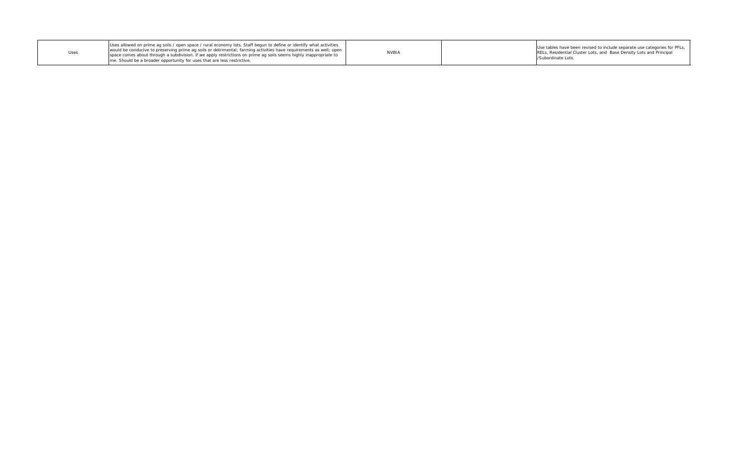| vities<br>I; open<br>ate to | NVBIA | Use tables have been revised to include separate use categories for PFLs,<br>RELs, Residential Cluster Lots, and Base Density Lots and Principal<br><i>V</i> Subordinate Lots. |
|-----------------------------|-------|--------------------------------------------------------------------------------------------------------------------------------------------------------------------------------|